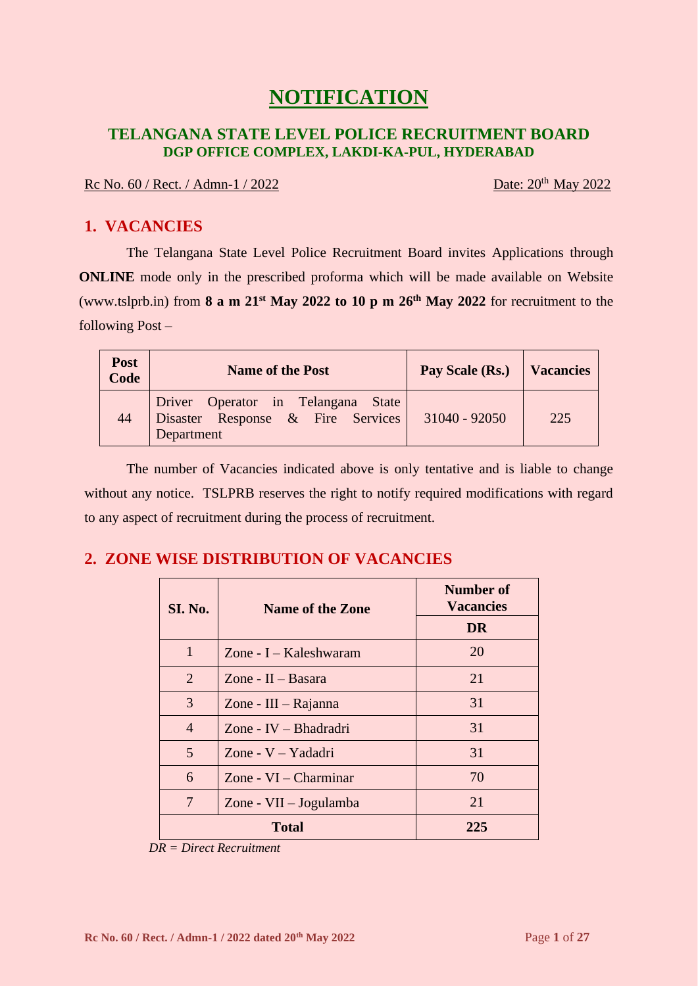# **NOTIFICATION**

### **TELANGANA STATE LEVEL POLICE RECRUITMENT BOARD DGP OFFICE COMPLEX, LAKDI-KA-PUL, HYDERABAD**

#### Rc No. 60 / Rect. / Admn-1 / 2022

Date:  $20^{th}$  May 2022

# **1. VACANCIES**

The Telangana State Level Police Recruitment Board invites Applications through **ONLINE** mode only in the prescribed proforma which will be made available on Website (www.tslprb.in) from **8 a m 21 st May 2022 to 10 p m 26 th May 2022** for recruitment to the following Post –

| Post<br>Code | <b>Name of the Post</b>                                                               | Pay Scale (Rs.) | <b>Vacancies</b> |
|--------------|---------------------------------------------------------------------------------------|-----------------|------------------|
| 44           | Driver Operator in Telangana State<br>Disaster Response & Fire Services<br>Department | 31040 - 92050   | 225              |

The number of Vacancies indicated above is only tentative and is liable to change without any notice. TSLPRB reserves the right to notify required modifications with regard to any aspect of recruitment during the process of recruitment.

# **2. ZONE WISE DISTRIBUTION OF VACANCIES**

| <b>SI. No.</b>                | <b>Name of the Zone</b> | <b>Number of</b><br><b>Vacancies</b> |  |
|-------------------------------|-------------------------|--------------------------------------|--|
|                               |                         | DR                                   |  |
| 1                             | Zone - I – Kaleshwaram  | 20                                   |  |
| 2                             | Zone - $II - Basara$    | 21                                   |  |
| 3                             | Zone - $III - Rajanna$  | 31                                   |  |
| $\overline{4}$                | Zone - IV - Bhadradri   | 31                                   |  |
| 5                             | Zone - $V - Y$ adadri   | 31                                   |  |
| 6                             | Zone - $VI$ – Charminar | 70                                   |  |
| 7<br>Zone - $VII - Jogulamba$ |                         | 21                                   |  |
|                               | <b>Total</b>            | 225                                  |  |

 *DR = Direct Recruitment*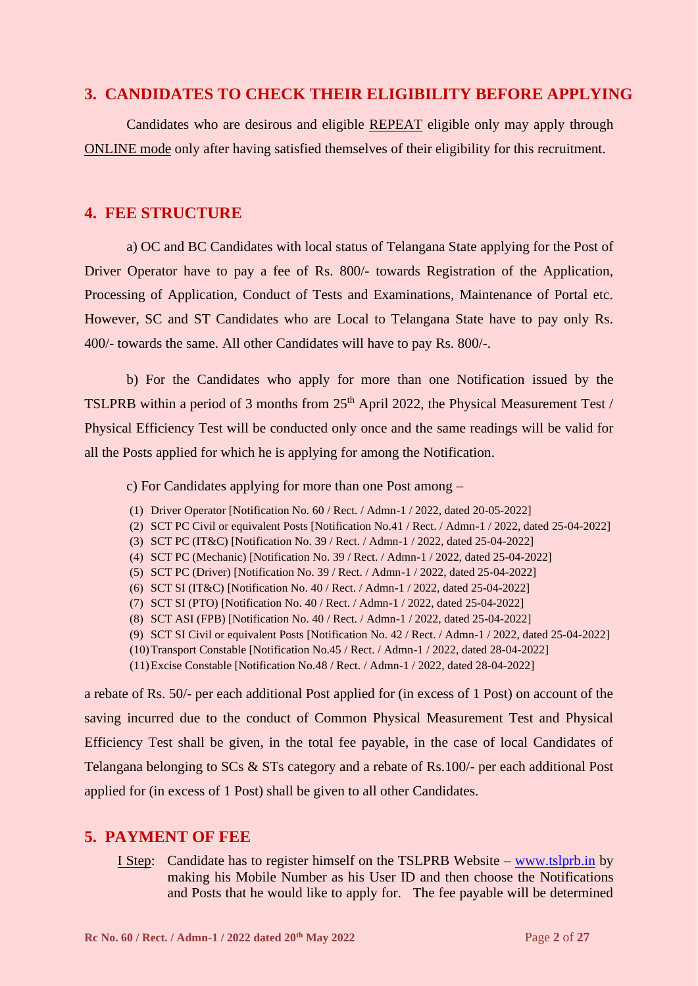#### **3. CANDIDATES TO CHECK THEIR ELIGIBILITY BEFORE APPLYING**

Candidates who are desirous and eligible REPEAT eligible only may apply through ONLINE mode only after having satisfied themselves of their eligibility for this recruitment.

#### **4. FEE STRUCTURE**

a) OC and BC Candidates with local status of Telangana State applying for the Post of Driver Operator have to pay a fee of Rs. 800/- towards Registration of the Application, Processing of Application, Conduct of Tests and Examinations, Maintenance of Portal etc. However, SC and ST Candidates who are Local to Telangana State have to pay only Rs. 400/- towards the same. All other Candidates will have to pay Rs. 800/-.

b) For the Candidates who apply for more than one Notification issued by the TSLPRB within a period of 3 months from 25<sup>th</sup> April 2022, the Physical Measurement Test / Physical Efficiency Test will be conducted only once and the same readings will be valid for all the Posts applied for which he is applying for among the Notification.

c) For Candidates applying for more than one Post among –

- (1) Driver Operator [Notification No. 60 / Rect. / Admn-1 / 2022, dated 20-05-2022]
- (2) SCT PC Civil or equivalent Posts [Notification No.41 / Rect. / Admn-1 / 2022, dated 25-04-2022]
- (3) SCT PC (IT&C) [Notification No. 39 / Rect. / Admn-1 / 2022, dated 25-04-2022]
- (4) SCT PC (Mechanic) [Notification No. 39 / Rect. / Admn-1 / 2022, dated 25-04-2022]
- (5) SCT PC (Driver) [Notification No. 39 / Rect. / Admn-1 / 2022, dated 25-04-2022]
- (6) SCT SI (IT&C) [Notification No. 40 / Rect. / Admn-1 / 2022, dated 25-04-2022]
- (7) SCT SI (PTO) [Notification No. 40 / Rect. / Admn-1 / 2022, dated 25-04-2022]
- (8) SCT ASI (FPB) [Notification No. 40 / Rect. / Admn-1 / 2022, dated 25-04-2022]
- (9) SCT SI Civil or equivalent Posts [Notification No. 42 / Rect. / Admn-1 / 2022, dated 25-04-2022]
- (10)Transport Constable [Notification No.45 / Rect. / Admn-1 / 2022, dated 28-04-2022]
- (11)Excise Constable [Notification No.48 / Rect. / Admn-1 / 2022, dated 28-04-2022]

a rebate of Rs. 50/- per each additional Post applied for (in excess of 1 Post) on account of the saving incurred due to the conduct of Common Physical Measurement Test and Physical Efficiency Test shall be given, in the total fee payable, in the case of local Candidates of Telangana belonging to SCs & STs category and a rebate of Rs.100/- per each additional Post applied for (in excess of 1 Post) shall be given to all other Candidates.

#### **5. PAYMENT OF FEE**

I Step: Candidate has to register himself on the TSLPRB Website – [www.tslprb.in](http://www.tslprb.in/) by making his Mobile Number as his User ID and then choose the Notifications and Posts that he would like to apply for. The fee payable will be determined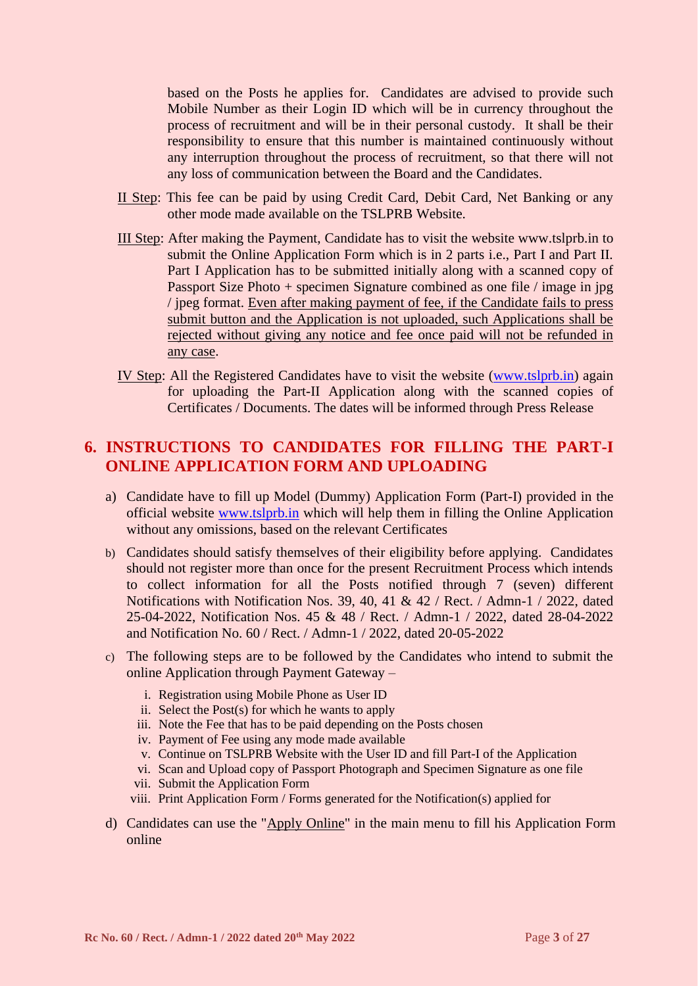based on the Posts he applies for. Candidates are advised to provide such Mobile Number as their Login ID which will be in currency throughout the process of recruitment and will be in their personal custody. It shall be their responsibility to ensure that this number is maintained continuously without any interruption throughout the process of recruitment, so that there will not any loss of communication between the Board and the Candidates.

- II Step: This fee can be paid by using Credit Card, Debit Card, Net Banking or any other mode made available on the TSLPRB Website.
- III Step: After making the Payment, Candidate has to visit the website www.tslprb.in to submit the Online Application Form which is in 2 parts i.e., Part I and Part II. Part I Application has to be submitted initially along with a scanned copy of Passport Size Photo + specimen Signature combined as one file / image in jpg / jpeg format. Even after making payment of fee, if the Candidate fails to press submit button and the Application is not uploaded, such Applications shall be rejected without giving any notice and fee once paid will not be refunded in any case.
- IV Step: All the Registered Candidates have to visit the website [\(www.tslprb.in\)](http://www.tslprb.in/) again for uploading the Part-II Application along with the scanned copies of Certificates / Documents. The dates will be informed through Press Release

### **6. INSTRUCTIONS TO CANDIDATES FOR FILLING THE PART-I ONLINE APPLICATION FORM AND UPLOADING**

- a) Candidate have to fill up Model (Dummy) Application Form (Part-I) provided in the official website [www.tslprb.in](http://www.tslprb.in/) which will help them in filling the Online Application without any omissions, based on the relevant Certificates
- b) Candidates should satisfy themselves of their eligibility before applying. Candidates should not register more than once for the present Recruitment Process which intends to collect information for all the Posts notified through 7 (seven) different Notifications with Notification Nos. 39, 40, 41 & 42 / Rect. / Admn-1 / 2022, dated 25-04-2022, Notification Nos. 45 & 48 / Rect. / Admn-1 / 2022, dated 28-04-2022 and Notification No. 60 / Rect. / Admn-1 / 2022, dated 20-05-2022
- c) The following steps are to be followed by the Candidates who intend to submit the online Application through Payment Gateway –
	- i. Registration using Mobile Phone as User ID
	- ii. Select the Post(s) for which he wants to apply
	- iii. Note the Fee that has to be paid depending on the Posts chosen
	- iv. Payment of Fee using any mode made available
	- v. Continue on TSLPRB Website with the User ID and fill Part-I of the Application
	- vi. Scan and Upload copy of Passport Photograph and Specimen Signature as one file
	- vii. Submit the Application Form
	- viii. Print Application Form / Forms generated for the Notification(s) applied for
- d) Candidates can use the "Apply Online" in the main menu to fill his Application Form online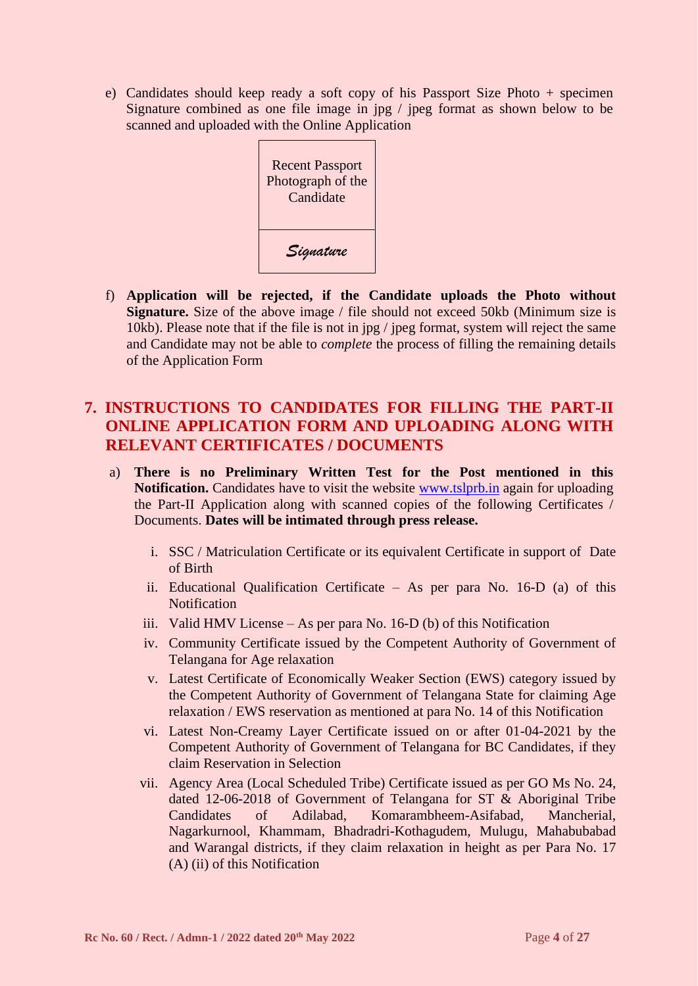e) Candidates should keep ready a soft copy of his Passport Size Photo + specimen Signature combined as one file image in jpg / jpeg format as shown below to be scanned and uploaded with the Online Application

| <b>Recent Passport</b><br>Photograph of the<br>Candidate |
|----------------------------------------------------------|
| Signature                                                |

f) **Application will be rejected, if the Candidate uploads the Photo without Signature.** Size of the above image / file should not exceed 50kb (Minimum size is 10kb). Please note that if the file is not in jpg / jpeg format, system will reject the same and Candidate may not be able to *complete* the process of filling the remaining details of the Application Form

# **7. INSTRUCTIONS TO CANDIDATES FOR FILLING THE PART-II ONLINE APPLICATION FORM AND UPLOADING ALONG WITH RELEVANT CERTIFICATES / DOCUMENTS**

- a) **There is no Preliminary Written Test for the Post mentioned in this Notification.** Candidates have to visit the website [www.tslprb.in](http://www.tslprb.in/) again for uploading the Part-II Application along with scanned copies of the following Certificates / Documents. **Dates will be intimated through press release.**
	- i. SSC / Matriculation Certificate or its equivalent Certificate in support of Date of Birth
	- ii. Educational Qualification Certificate As per para No. 16-D (a) of this Notification
	- iii. Valid HMV License As per para No. 16-D (b) of this Notification
	- iv. Community Certificate issued by the Competent Authority of Government of Telangana for Age relaxation
	- v. Latest Certificate of Economically Weaker Section (EWS) category issued by the Competent Authority of Government of Telangana State for claiming Age relaxation / EWS reservation as mentioned at para No. 14 of this Notification
	- vi. Latest Non-Creamy Layer Certificate issued on or after 01-04-2021 by the Competent Authority of Government of Telangana for BC Candidates, if they claim Reservation in Selection
	- vii. Agency Area (Local Scheduled Tribe) Certificate issued as per GO Ms No. 24, dated 12-06-2018 of Government of Telangana for ST & Aboriginal Tribe Candidates of Adilabad, Komarambheem-Asifabad, Mancherial, Nagarkurnool, Khammam, Bhadradri-Kothagudem, Mulugu, Mahabubabad and Warangal districts, if they claim relaxation in height as per Para No. 17 (A) (ii) of this Notification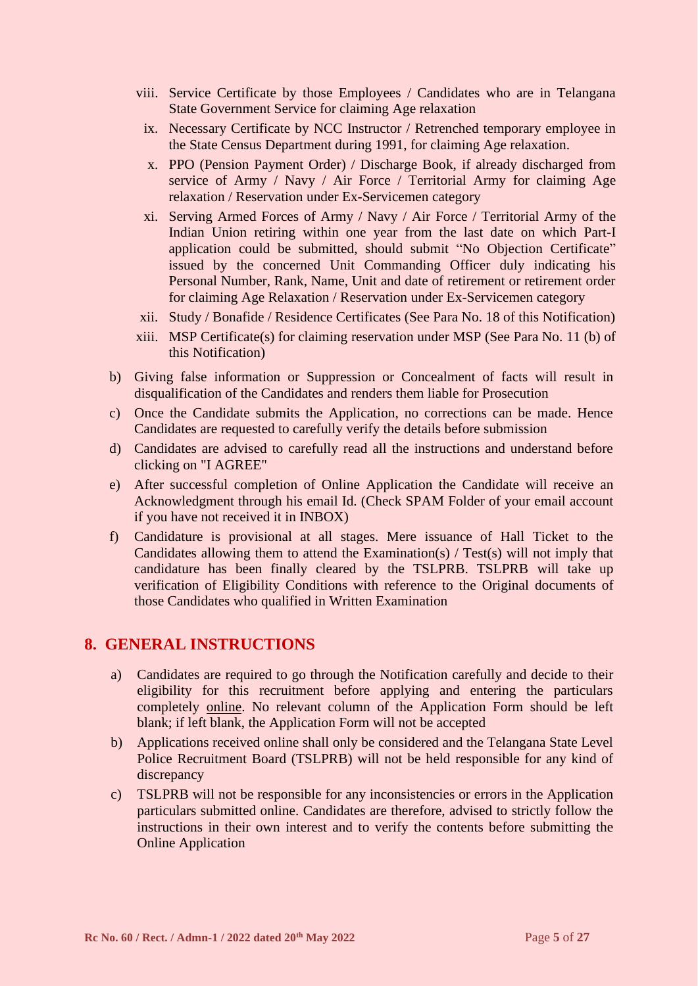- viii. Service Certificate by those Employees / Candidates who are in Telangana State Government Service for claiming Age relaxation
	- ix. Necessary Certificate by NCC Instructor / Retrenched temporary employee in the State Census Department during 1991, for claiming Age relaxation.
	- x. PPO (Pension Payment Order) / Discharge Book, if already discharged from service of Army / Navy / Air Force / Territorial Army for claiming Age relaxation / Reservation under Ex-Servicemen category
	- xi. Serving Armed Forces of Army / Navy / Air Force / Territorial Army of the Indian Union retiring within one year from the last date on which Part-I application could be submitted, should submit "No Objection Certificate" issued by the concerned Unit Commanding Officer duly indicating his Personal Number, Rank, Name, Unit and date of retirement or retirement order for claiming Age Relaxation / Reservation under Ex-Servicemen category
- xii. Study / Bonafide / Residence Certificates (See Para No. 18 of this Notification)
- xiii. MSP Certificate(s) for claiming reservation under MSP (See Para No. 11 (b) of this Notification)
- b) Giving false information or Suppression or Concealment of facts will result in disqualification of the Candidates and renders them liable for Prosecution
- c) Once the Candidate submits the Application, no corrections can be made. Hence Candidates are requested to carefully verify the details before submission
- d) Candidates are advised to carefully read all the instructions and understand before clicking on "I AGREE"
- e) After successful completion of Online Application the Candidate will receive an Acknowledgment through his email Id. (Check SPAM Folder of your email account if you have not received it in INBOX)
- f) Candidature is provisional at all stages. Mere issuance of Hall Ticket to the Candidates allowing them to attend the Examination(s) / Test(s) will not imply that candidature has been finally cleared by the TSLPRB. TSLPRB will take up verification of Eligibility Conditions with reference to the Original documents of those Candidates who qualified in Written Examination

### **8. GENERAL INSTRUCTIONS**

- a) Candidates are required to go through the Notification carefully and decide to their eligibility for this recruitment before applying and entering the particulars completely online. No relevant column of the Application Form should be left blank; if left blank, the Application Form will not be accepted
- b) Applications received online shall only be considered and the Telangana State Level Police Recruitment Board (TSLPRB) will not be held responsible for any kind of discrepancy
- c) TSLPRB will not be responsible for any inconsistencies or errors in the Application particulars submitted online. Candidates are therefore, advised to strictly follow the instructions in their own interest and to verify the contents before submitting the Online Application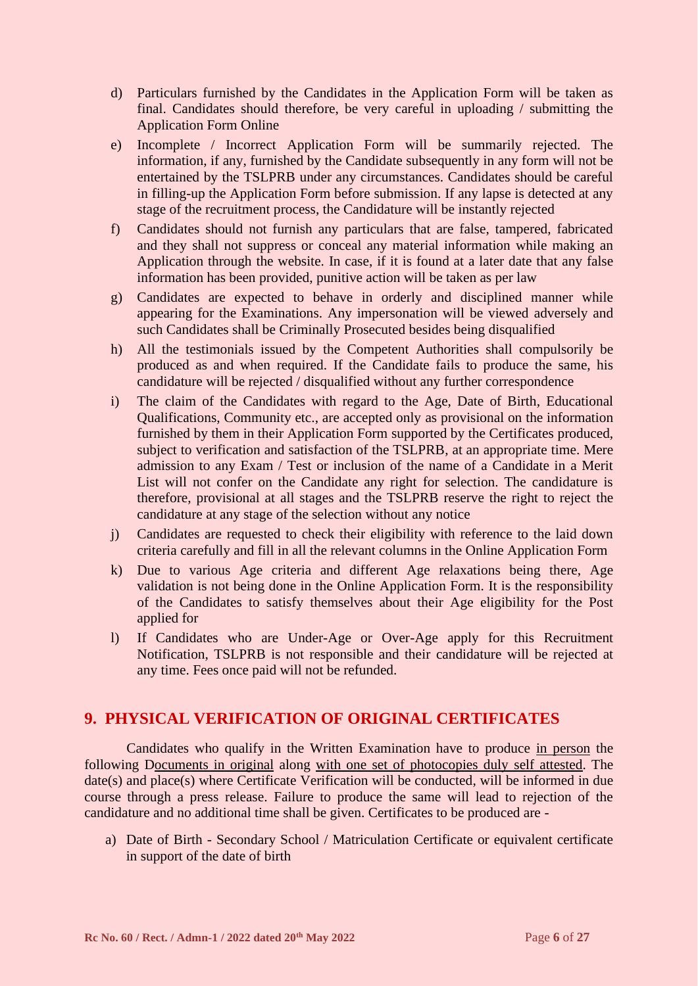- d) Particulars furnished by the Candidates in the Application Form will be taken as final. Candidates should therefore, be very careful in uploading / submitting the Application Form Online
- e) Incomplete / Incorrect Application Form will be summarily rejected. The information, if any, furnished by the Candidate subsequently in any form will not be entertained by the TSLPRB under any circumstances. Candidates should be careful in filling-up the Application Form before submission. If any lapse is detected at any stage of the recruitment process, the Candidature will be instantly rejected
- f) Candidates should not furnish any particulars that are false, tampered, fabricated and they shall not suppress or conceal any material information while making an Application through the website. In case, if it is found at a later date that any false information has been provided, punitive action will be taken as per law
- g) Candidates are expected to behave in orderly and disciplined manner while appearing for the Examinations. Any impersonation will be viewed adversely and such Candidates shall be Criminally Prosecuted besides being disqualified
- h) All the testimonials issued by the Competent Authorities shall compulsorily be produced as and when required. If the Candidate fails to produce the same, his candidature will be rejected / disqualified without any further correspondence
- i) The claim of the Candidates with regard to the Age, Date of Birth, Educational Qualifications, Community etc., are accepted only as provisional on the information furnished by them in their Application Form supported by the Certificates produced, subject to verification and satisfaction of the TSLPRB, at an appropriate time. Mere admission to any Exam / Test or inclusion of the name of a Candidate in a Merit List will not confer on the Candidate any right for selection. The candidature is therefore, provisional at all stages and the TSLPRB reserve the right to reject the candidature at any stage of the selection without any notice
- j) Candidates are requested to check their eligibility with reference to the laid down criteria carefully and fill in all the relevant columns in the Online Application Form
- k) Due to various Age criteria and different Age relaxations being there, Age validation is not being done in the Online Application Form. It is the responsibility of the Candidates to satisfy themselves about their Age eligibility for the Post applied for
- l) If Candidates who are Under-Age or Over-Age apply for this Recruitment Notification, TSLPRB is not responsible and their candidature will be rejected at any time. Fees once paid will not be refunded.

### **9. PHYSICAL VERIFICATION OF ORIGINAL CERTIFICATES**

Candidates who qualify in the Written Examination have to produce in person the following Documents in original along with one set of photocopies duly self attested. The date(s) and place(s) where Certificate Verification will be conducted, will be informed in due course through a press release. Failure to produce the same will lead to rejection of the candidature and no additional time shall be given. Certificates to be produced are -

a) Date of Birth - Secondary School / Matriculation Certificate or equivalent certificate in support of the date of birth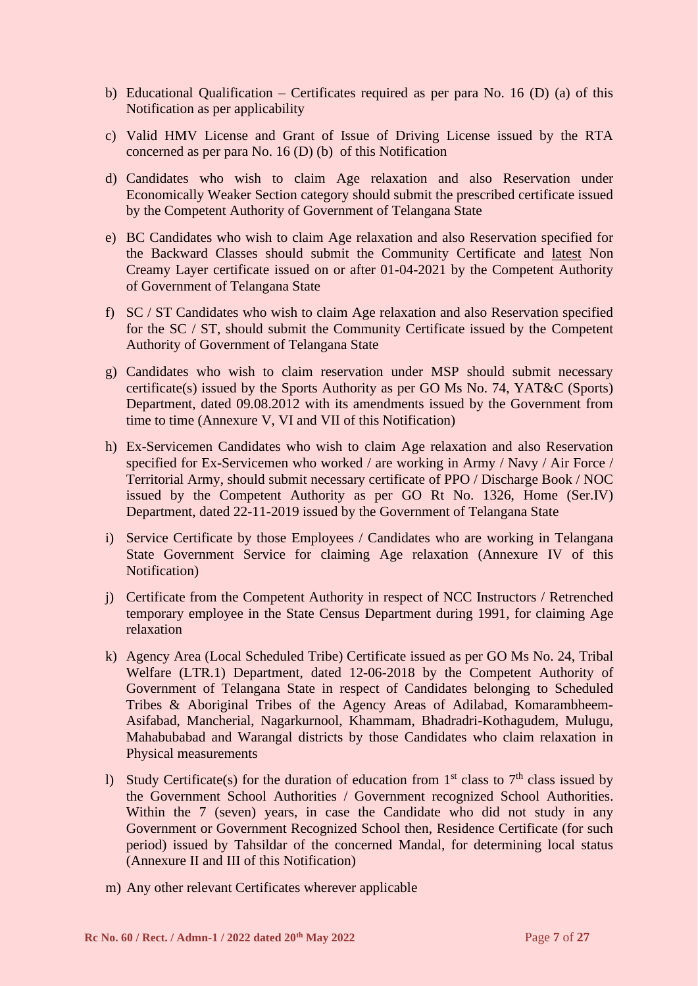- b) Educational Qualification Certificates required as per para No. 16 (D) (a) of this Notification as per applicability
- c) Valid HMV License and Grant of Issue of Driving License issued by the RTA concerned as per para No. 16 (D) (b) of this Notification
- d) Candidates who wish to claim Age relaxation and also Reservation under Economically Weaker Section category should submit the prescribed certificate issued by the Competent Authority of Government of Telangana State
- e) BC Candidates who wish to claim Age relaxation and also Reservation specified for the Backward Classes should submit the Community Certificate and latest Non Creamy Layer certificate issued on or after 01-04-2021 by the Competent Authority of Government of Telangana State
- f) SC / ST Candidates who wish to claim Age relaxation and also Reservation specified for the SC / ST, should submit the Community Certificate issued by the Competent Authority of Government of Telangana State
- g) Candidates who wish to claim reservation under MSP should submit necessary certificate(s) issued by the Sports Authority as per GO Ms No. 74, YAT&C (Sports) Department, dated 09.08.2012 with its amendments issued by the Government from time to time (Annexure V, VI and VII of this Notification)
- h) Ex-Servicemen Candidates who wish to claim Age relaxation and also Reservation specified for Ex-Servicemen who worked / are working in Army / Navy / Air Force / Territorial Army, should submit necessary certificate of PPO / Discharge Book / NOC issued by the Competent Authority as per GO Rt No. 1326, Home (Ser.IV) Department, dated 22-11-2019 issued by the Government of Telangana State
- i) Service Certificate by those Employees / Candidates who are working in Telangana State Government Service for claiming Age relaxation (Annexure IV of this Notification)
- j) Certificate from the Competent Authority in respect of NCC Instructors / Retrenched temporary employee in the State Census Department during 1991, for claiming Age relaxation
- k) Agency Area (Local Scheduled Tribe) Certificate issued as per GO Ms No. 24, Tribal Welfare (LTR.1) Department, dated 12-06-2018 by the Competent Authority of Government of Telangana State in respect of Candidates belonging to Scheduled Tribes & Aboriginal Tribes of the Agency Areas of Adilabad, Komarambheem-Asifabad, Mancherial, Nagarkurnool, Khammam, Bhadradri-Kothagudem, Mulugu, Mahabubabad and Warangal districts by those Candidates who claim relaxation in Physical measurements
- l) Study Certificate(s) for the duration of education from  $1<sup>st</sup>$  class to  $7<sup>th</sup>$  class issued by the Government School Authorities / Government recognized School Authorities. Within the 7 (seven) years, in case the Candidate who did not study in any Government or Government Recognized School then, Residence Certificate (for such period) issued by Tahsildar of the concerned Mandal, for determining local status (Annexure II and III of this Notification)
- m) Any other relevant Certificates wherever applicable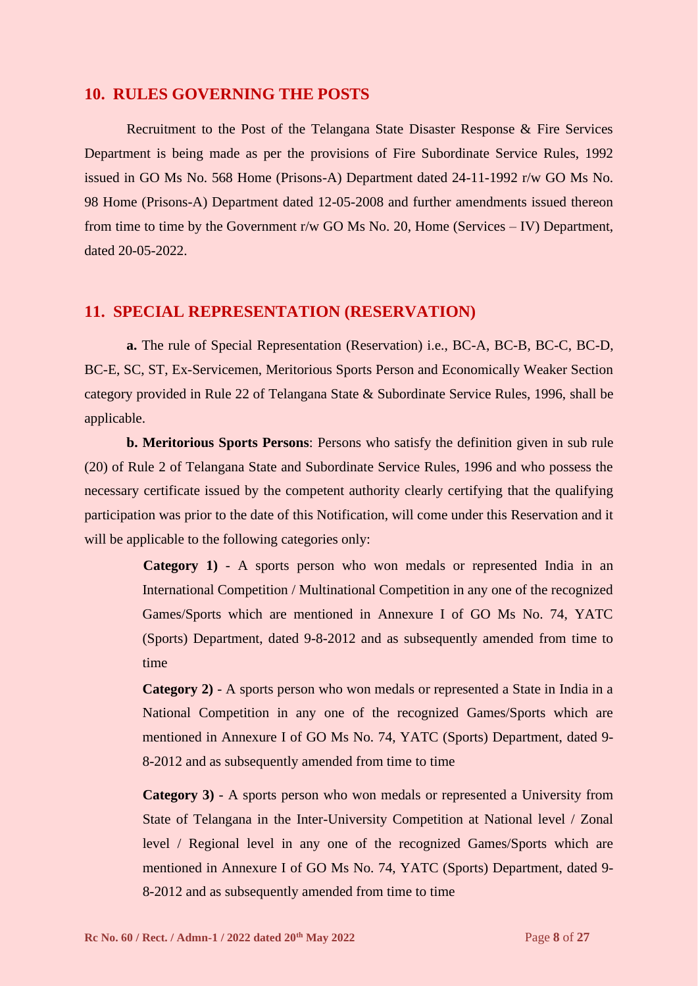#### **10. RULES GOVERNING THE POSTS**

Recruitment to the Post of the Telangana State Disaster Response & Fire Services Department is being made as per the provisions of Fire Subordinate Service Rules, 1992 issued in GO Ms No. 568 Home (Prisons-A) Department dated 24-11-1992 r/w GO Ms No. 98 Home (Prisons-A) Department dated 12-05-2008 and further amendments issued thereon from time to time by the Government  $r/w$  GO Ms No. 20, Home (Services – IV) Department, dated 20-05-2022.

#### **11. SPECIAL REPRESENTATION (RESERVATION)**

**a.** The rule of Special Representation (Reservation) i.e., BC-A, BC-B, BC-C, BC-D, BC-E, SC, ST, Ex-Servicemen, Meritorious Sports Person and Economically Weaker Section category provided in Rule 22 of Telangana State & Subordinate Service Rules, 1996, shall be applicable.

**b. Meritorious Sports Persons**: Persons who satisfy the definition given in sub rule (20) of Rule 2 of Telangana State and Subordinate Service Rules, 1996 and who possess the necessary certificate issued by the competent authority clearly certifying that the qualifying participation was prior to the date of this Notification, will come under this Reservation and it will be applicable to the following categories only:

> **Category 1)** - A sports person who won medals or represented India in an International Competition / Multinational Competition in any one of the recognized Games/Sports which are mentioned in Annexure I of GO Ms No. 74, YATC (Sports) Department, dated 9-8-2012 and as subsequently amended from time to time

> **Category 2)** - A sports person who won medals or represented a State in India in a National Competition in any one of the recognized Games/Sports which are mentioned in Annexure I of GO Ms No. 74, YATC (Sports) Department, dated 9- 8-2012 and as subsequently amended from time to time

> **Category 3)** - A sports person who won medals or represented a University from State of Telangana in the Inter-University Competition at National level / Zonal level / Regional level in any one of the recognized Games/Sports which are mentioned in Annexure I of GO Ms No. 74, YATC (Sports) Department, dated 9- 8-2012 and as subsequently amended from time to time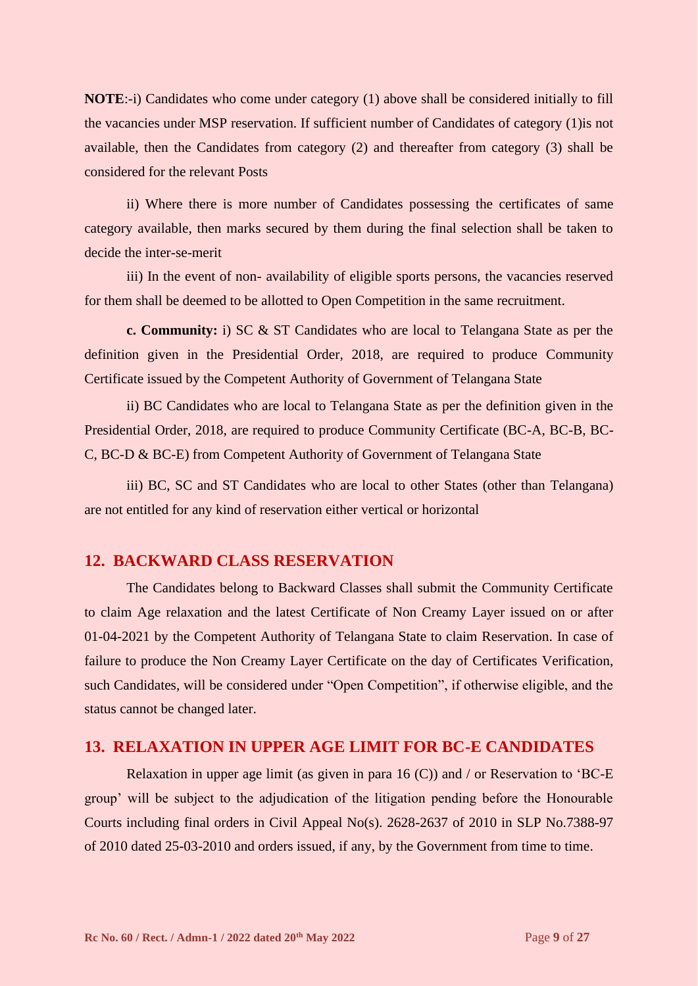**NOTE:**-i) Candidates who come under category (1) above shall be considered initially to fill the vacancies under MSP reservation. If sufficient number of Candidates of category (1)is not available, then the Candidates from category (2) and thereafter from category (3) shall be considered for the relevant Posts

ii) Where there is more number of Candidates possessing the certificates of same category available, then marks secured by them during the final selection shall be taken to decide the inter-se-merit

iii) In the event of non- availability of eligible sports persons, the vacancies reserved for them shall be deemed to be allotted to Open Competition in the same recruitment.

**c. Community:** i) SC & ST Candidates who are local to Telangana State as per the definition given in the Presidential Order, 2018, are required to produce Community Certificate issued by the Competent Authority of Government of Telangana State

ii) BC Candidates who are local to Telangana State as per the definition given in the Presidential Order, 2018, are required to produce Community Certificate (BC-A, BC-B, BC-C, BC-D & BC-E) from Competent Authority of Government of Telangana State

iii) BC, SC and ST Candidates who are local to other States (other than Telangana) are not entitled for any kind of reservation either vertical or horizontal

#### **12. BACKWARD CLASS RESERVATION**

The Candidates belong to Backward Classes shall submit the Community Certificate to claim Age relaxation and the latest Certificate of Non Creamy Layer issued on or after 01-04-2021 by the Competent Authority of Telangana State to claim Reservation. In case of failure to produce the Non Creamy Layer Certificate on the day of Certificates Verification, such Candidates, will be considered under "Open Competition", if otherwise eligible, and the status cannot be changed later.

#### **13. RELAXATION IN UPPER AGE LIMIT FOR BC-E CANDIDATES**

Relaxation in upper age limit (as given in para 16 (C)) and / or Reservation to 'BC-E group' will be subject to the adjudication of the litigation pending before the Honourable Courts including final orders in Civil Appeal No(s). 2628-2637 of 2010 in SLP No.7388-97 of 2010 dated 25-03-2010 and orders issued, if any, by the Government from time to time.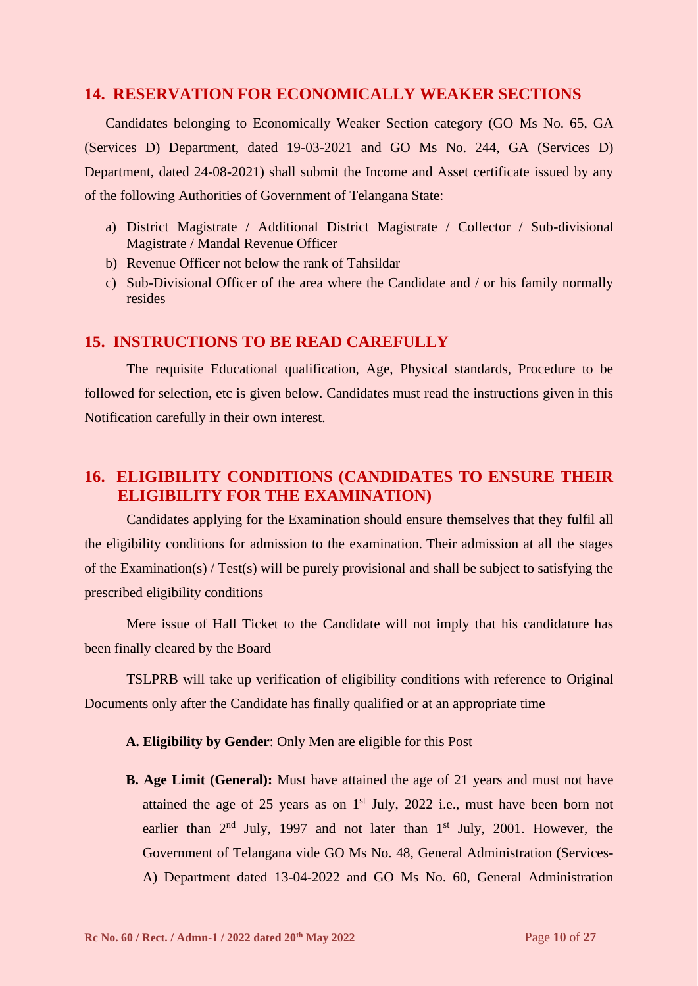#### **14. RESERVATION FOR ECONOMICALLY WEAKER SECTIONS**

Candidates belonging to Economically Weaker Section category (GO Ms No. 65, GA (Services D) Department, dated 19-03-2021 and GO Ms No. 244, GA (Services D) Department, dated 24-08-2021) shall submit the Income and Asset certificate issued by any of the following Authorities of Government of Telangana State:

- a) District Magistrate / Additional District Magistrate / Collector / Sub-divisional Magistrate / Mandal Revenue Officer
- b) Revenue Officer not below the rank of Tahsildar
- c) Sub-Divisional Officer of the area where the Candidate and / or his family normally resides

#### **15. INSTRUCTIONS TO BE READ CAREFULLY**

The requisite Educational qualification, Age, Physical standards, Procedure to be followed for selection, etc is given below. Candidates must read the instructions given in this Notification carefully in their own interest.

# **16. ELIGIBILITY CONDITIONS (CANDIDATES TO ENSURE THEIR ELIGIBILITY FOR THE EXAMINATION)**

Candidates applying for the Examination should ensure themselves that they fulfil all the eligibility conditions for admission to the examination. Their admission at all the stages of the Examination(s) / Test(s) will be purely provisional and shall be subject to satisfying the prescribed eligibility conditions

Mere issue of Hall Ticket to the Candidate will not imply that his candidature has been finally cleared by the Board

TSLPRB will take up verification of eligibility conditions with reference to Original Documents only after the Candidate has finally qualified or at an appropriate time

**A. Eligibility by Gender**: Only Men are eligible for this Post

**B. Age Limit (General):** Must have attained the age of 21 years and must not have attained the age of 25 years as on  $1<sup>st</sup>$  July, 2022 i.e., must have been born not earlier than  $2<sup>nd</sup>$  July, 1997 and not later than  $1<sup>st</sup>$  July, 2001. However, the Government of Telangana vide GO Ms No. 48, General Administration (Services-A) Department dated 13-04-2022 and GO Ms No. 60, General Administration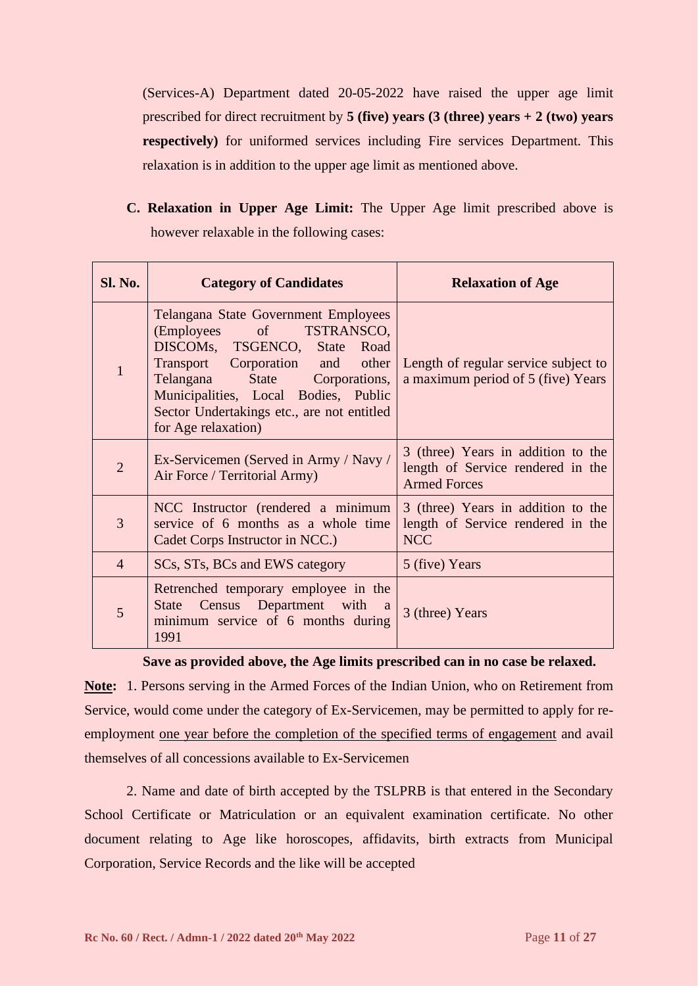(Services-A) Department dated 20-05-2022 have raised the upper age limit prescribed for direct recruitment by **5 (five) years (3 (three) years + 2 (two) years respectively**) for uniformed services including Fire services Department. This relaxation is in addition to the upper age limit as mentioned above.

**C. Relaxation in Upper Age Limit:** The Upper Age limit prescribed above is however relaxable in the following cases:

| <b>Sl. No.</b> | <b>Category of Candidates</b>                                                                                                                                                                                                                                                                    | <b>Relaxation of Age</b>                                                                       |
|----------------|--------------------------------------------------------------------------------------------------------------------------------------------------------------------------------------------------------------------------------------------------------------------------------------------------|------------------------------------------------------------------------------------------------|
| 1              | Telangana State Government Employees<br>$\sigma$<br>TSTRANSCO,<br>(Employees<br>DISCOMs, TSGENCO, State<br>Road<br>Transport Corporation and other<br>Telangana State Corporations,<br>Municipalities, Local Bodies, Public<br>Sector Undertakings etc., are not entitled<br>for Age relaxation) | Length of regular service subject to<br>a maximum period of 5 (five) Years                     |
| $\overline{2}$ | Ex-Servicemen (Served in Army / Navy /<br>Air Force / Territorial Army)                                                                                                                                                                                                                          | 3 (three) Years in addition to the<br>length of Service rendered in the<br><b>Armed Forces</b> |
| 3              | NCC Instructor (rendered a minimum<br>service of 6 months as a whole time<br>Cadet Corps Instructor in NCC.)                                                                                                                                                                                     | 3 (three) Years in addition to the<br>length of Service rendered in the<br><b>NCC</b>          |
| $\overline{4}$ | SCs, STs, BCs and EWS category                                                                                                                                                                                                                                                                   | 5 (five) Years                                                                                 |
| 5              | Retrenched temporary employee in the<br>Census Department with a<br>State<br>minimum service of 6 months during<br>1991                                                                                                                                                                          | 3 (three) Years                                                                                |

**Save as provided above, the Age limits prescribed can in no case be relaxed.**

**Note:** 1. Persons serving in the Armed Forces of the Indian Union, who on Retirement from Service, would come under the category of Ex-Servicemen, may be permitted to apply for reemployment one year before the completion of the specified terms of engagement and avail themselves of all concessions available to Ex-Servicemen

2. Name and date of birth accepted by the TSLPRB is that entered in the Secondary School Certificate or Matriculation or an equivalent examination certificate. No other document relating to Age like horoscopes, affidavits, birth extracts from Municipal Corporation, Service Records and the like will be accepted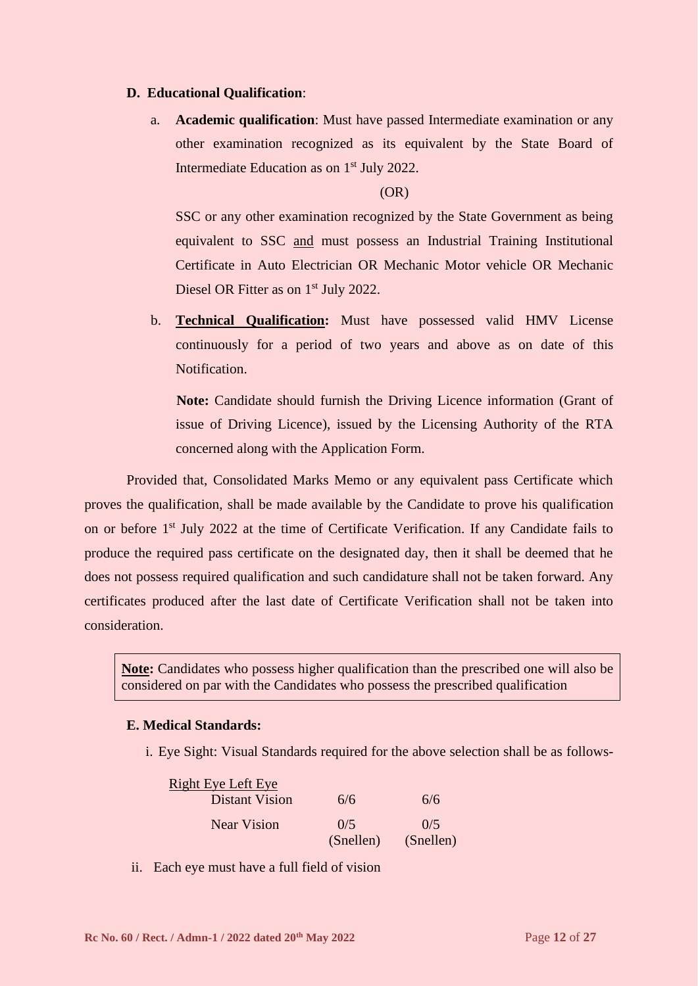#### **D. Educational Qualification**:

a. **Academic qualification**: Must have passed Intermediate examination or any other examination recognized as its equivalent by the State Board of Intermediate Education as on 1<sup>st</sup> July 2022.

(OR)

SSC or any other examination recognized by the State Government as being equivalent to SSC and must possess an Industrial Training Institutional Certificate in Auto Electrician OR Mechanic Motor vehicle OR Mechanic Diesel OR Fitter as on 1<sup>st</sup> July 2022.

b. **Technical Qualification:** Must have possessed valid HMV License continuously for a period of two years and above as on date of this Notification.

**Note:** Candidate should furnish the Driving Licence information (Grant of issue of Driving Licence), issued by the Licensing Authority of the RTA concerned along with the Application Form.

Provided that, Consolidated Marks Memo or any equivalent pass Certificate which proves the qualification, shall be made available by the Candidate to prove his qualification on or before 1<sup>st</sup> July 2022 at the time of Certificate Verification. If any Candidate fails to produce the required pass certificate on the designated day, then it shall be deemed that he does not possess required qualification and such candidature shall not be taken forward. Any certificates produced after the last date of Certificate Verification shall not be taken into consideration.

**Note:** Candidates who possess higher qualification than the prescribed one will also be considered on par with the Candidates who possess the prescribed qualification

#### **E. Medical Standards:**

i. Eye Sight: Visual Standards required for the above selection shall be as follows-

| <b>Right Eye Left Eye</b> |           |           |
|---------------------------|-----------|-----------|
| <b>Distant Vision</b>     | 6/6       | 6/6       |
| <b>Near Vision</b>        | 0/5       | 0/5       |
|                           | (Snellen) | (Snellen) |

ii. Each eye must have a full field of vision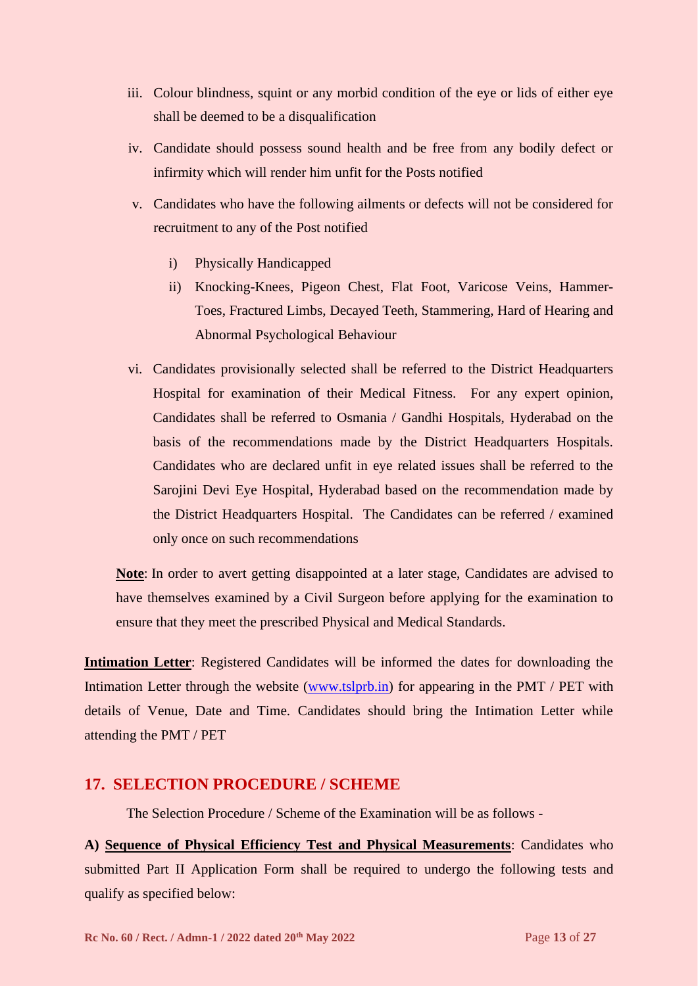- iii. Colour blindness, squint or any morbid condition of the eye or lids of either eye shall be deemed to be a disqualification
- iv. Candidate should possess sound health and be free from any bodily defect or infirmity which will render him unfit for the Posts notified
- v. Candidates who have the following ailments or defects will not be considered for recruitment to any of the Post notified
	- i) Physically Handicapped
	- ii) Knocking-Knees, Pigeon Chest, Flat Foot, Varicose Veins, Hammer-Toes, Fractured Limbs, Decayed Teeth, Stammering, Hard of Hearing and Abnormal Psychological Behaviour
- vi. Candidates provisionally selected shall be referred to the District Headquarters Hospital for examination of their Medical Fitness. For any expert opinion, Candidates shall be referred to Osmania / Gandhi Hospitals, Hyderabad on the basis of the recommendations made by the District Headquarters Hospitals. Candidates who are declared unfit in eye related issues shall be referred to the Sarojini Devi Eye Hospital, Hyderabad based on the recommendation made by the District Headquarters Hospital. The Candidates can be referred / examined only once on such recommendations

**Note**: In order to avert getting disappointed at a later stage, Candidates are advised to have themselves examined by a Civil Surgeon before applying for the examination to ensure that they meet the prescribed Physical and Medical Standards.

**Intimation Letter**: Registered Candidates will be informed the dates for downloading the Intimation Letter through the website [\(www.tslprb.in\)](http://www.tslprb.in/) for appearing in the PMT / PET with details of Venue, Date and Time. Candidates should bring the Intimation Letter while attending the PMT / PET

#### **17. SELECTION PROCEDURE / SCHEME**

The Selection Procedure / Scheme of the Examination will be as follows -

**A) Sequence of Physical Efficiency Test and Physical Measurements**: Candidates who submitted Part II Application Form shall be required to undergo the following tests and qualify as specified below: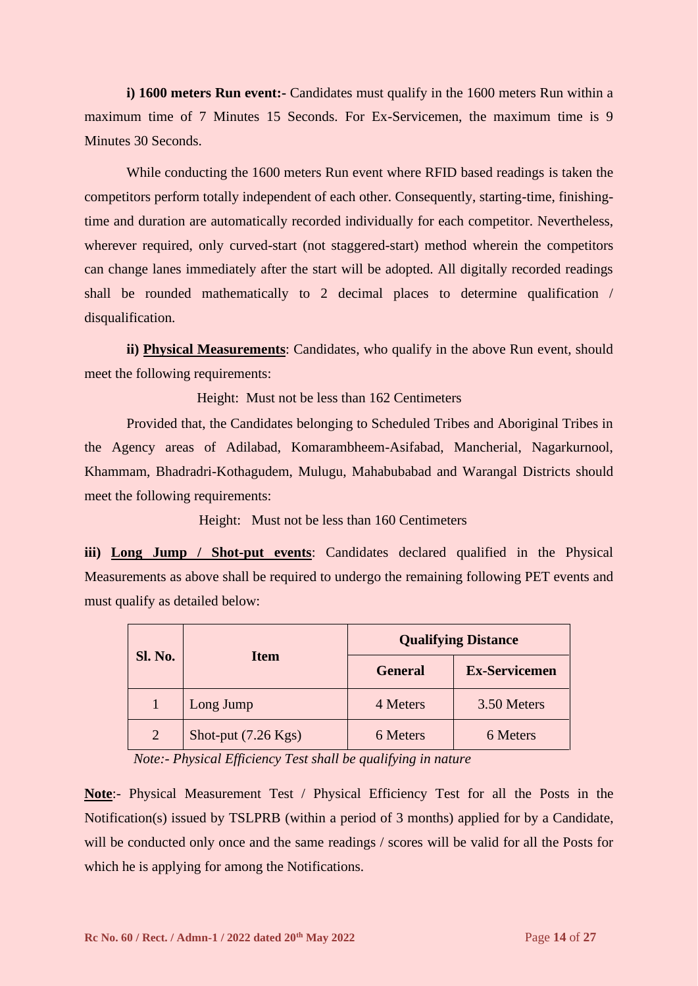**i) 1600 meters Run event:-** Candidates must qualify in the 1600 meters Run within a maximum time of 7 Minutes 15 Seconds. For Ex-Servicemen, the maximum time is 9 Minutes 30 Seconds.

While conducting the 1600 meters Run event where RFID based readings is taken the competitors perform totally independent of each other. Consequently, starting-time, finishingtime and duration are automatically recorded individually for each competitor. Nevertheless, wherever required, only curved-start (not staggered-start) method wherein the competitors can change lanes immediately after the start will be adopted. All digitally recorded readings shall be rounded mathematically to 2 decimal places to determine qualification / disqualification.

**ii) Physical Measurements**: Candidates, who qualify in the above Run event, should meet the following requirements:

Height: Must not be less than 162 Centimeters

Provided that, the Candidates belonging to Scheduled Tribes and Aboriginal Tribes in the Agency areas of Adilabad, Komarambheem-Asifabad, Mancherial, Nagarkurnool, Khammam, Bhadradri-Kothagudem, Mulugu, Mahabubabad and Warangal Districts should meet the following requirements:

Height: Must not be less than 160 Centimeters

**iii) Long Jump / Shot-put events**: Candidates declared qualified in the Physical Measurements as above shall be required to undergo the remaining following PET events and must qualify as detailed below:

|                | <b>Item</b>                   | <b>Qualifying Distance</b> |                      |  |
|----------------|-------------------------------|----------------------------|----------------------|--|
| <b>Sl. No.</b> |                               | <b>General</b>             | <b>Ex-Servicemen</b> |  |
|                | Long Jump                     | 4 Meters                   | 3.50 Meters          |  |
| $\overline{2}$ | Shot-put $(7.26 \text{ Kgs})$ | 6 Meters                   | 6 Meters             |  |

 *Note:- Physical Efficiency Test shall be qualifying in nature*

**Note**:- Physical Measurement Test / Physical Efficiency Test for all the Posts in the Notification(s) issued by TSLPRB (within a period of 3 months) applied for by a Candidate, will be conducted only once and the same readings / scores will be valid for all the Posts for which he is applying for among the Notifications.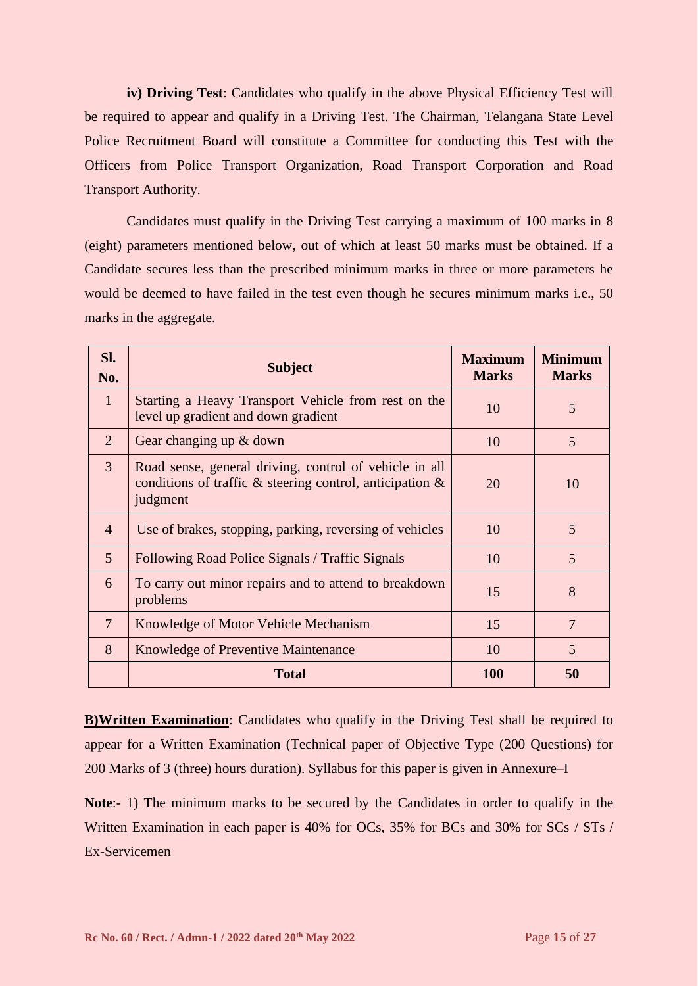**iv) Driving Test**: Candidates who qualify in the above Physical Efficiency Test will be required to appear and qualify in a Driving Test. The Chairman, Telangana State Level Police Recruitment Board will constitute a Committee for conducting this Test with the Officers from Police Transport Organization, Road Transport Corporation and Road Transport Authority.

Candidates must qualify in the Driving Test carrying a maximum of 100 marks in 8 (eight) parameters mentioned below, out of which at least 50 marks must be obtained. If a Candidate secures less than the prescribed minimum marks in three or more parameters he would be deemed to have failed in the test even though he secures minimum marks i.e., 50 marks in the aggregate.

| Sl.<br>No.      | <b>Subject</b>                                                                                                                       | <b>Maximum</b><br><b>Marks</b> | <b>Minimum</b><br><b>Marks</b> |
|-----------------|--------------------------------------------------------------------------------------------------------------------------------------|--------------------------------|--------------------------------|
| $\mathbf{1}$    | Starting a Heavy Transport Vehicle from rest on the<br>level up gradient and down gradient                                           | 10                             | 5                              |
| 2               | Gear changing up & down                                                                                                              | 10                             | 5                              |
| 3               | Road sense, general driving, control of vehicle in all<br>conditions of traffic $\&$ steering control, anticipation $\&$<br>judgment | 20                             | 10                             |
| $\overline{4}$  | Use of brakes, stopping, parking, reversing of vehicles                                                                              | 10                             | 5                              |
| $\overline{5}$  | Following Road Police Signals / Traffic Signals                                                                                      | 10                             | 5                              |
| 6               | To carry out minor repairs and to attend to breakdown<br>problems                                                                    | 15                             | 8                              |
| $7\phantom{.0}$ | Knowledge of Motor Vehicle Mechanism                                                                                                 | 15                             | 7                              |
| 8               | Knowledge of Preventive Maintenance                                                                                                  | 10                             | 5                              |
|                 | <b>Total</b>                                                                                                                         | <b>100</b>                     | 50                             |

**B)Written Examination**: Candidates who qualify in the Driving Test shall be required to appear for a Written Examination (Technical paper of Objective Type (200 Questions) for 200 Marks of 3 (three) hours duration). Syllabus for this paper is given in Annexure–I

**Note**:- 1) The minimum marks to be secured by the Candidates in order to qualify in the Written Examination in each paper is 40% for OCs, 35% for BCs and 30% for SCs / STs / Ex-Servicemen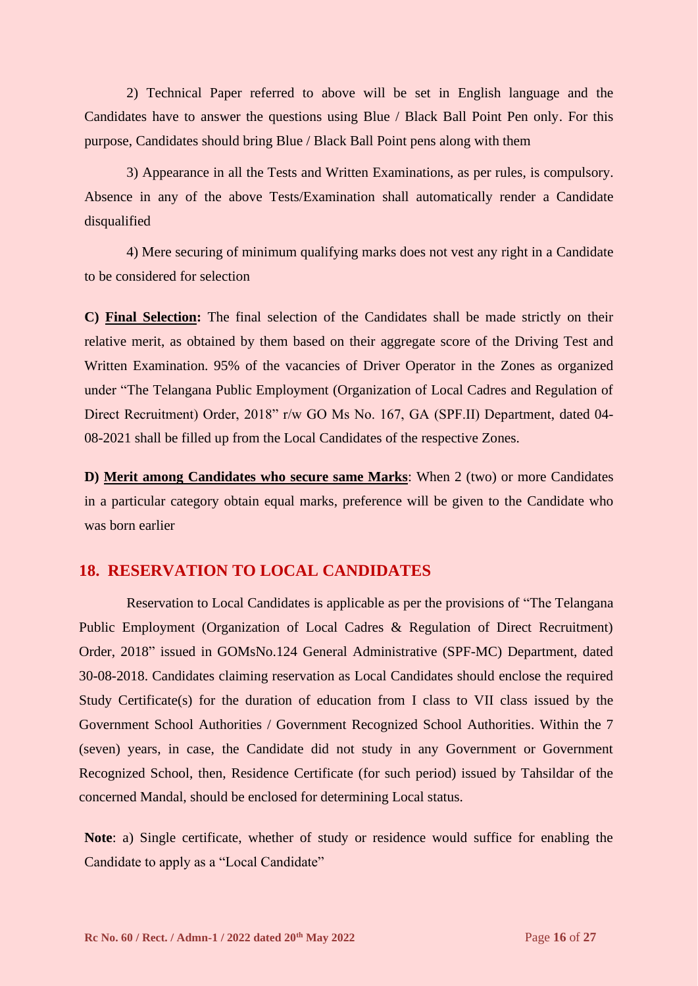2) Technical Paper referred to above will be set in English language and the Candidates have to answer the questions using Blue / Black Ball Point Pen only. For this purpose, Candidates should bring Blue / Black Ball Point pens along with them

3) Appearance in all the Tests and Written Examinations, as per rules, is compulsory. Absence in any of the above Tests/Examination shall automatically render a Candidate disqualified

4) Mere securing of minimum qualifying marks does not vest any right in a Candidate to be considered for selection

**C) Final Selection:** The final selection of the Candidates shall be made strictly on their relative merit, as obtained by them based on their aggregate score of the Driving Test and Written Examination. 95% of the vacancies of Driver Operator in the Zones as organized under "The Telangana Public Employment (Organization of Local Cadres and Regulation of Direct Recruitment) Order, 2018" r/w GO Ms No. 167, GA (SPF.II) Department, dated 04- 08-2021 shall be filled up from the Local Candidates of the respective Zones.

**D) Merit among Candidates who secure same Marks**: When 2 (two) or more Candidates in a particular category obtain equal marks, preference will be given to the Candidate who was born earlier

### **18. RESERVATION TO LOCAL CANDIDATES**

Reservation to Local Candidates is applicable as per the provisions of "The Telangana Public Employment (Organization of Local Cadres & Regulation of Direct Recruitment) Order, 2018" issued in GOMsNo.124 General Administrative (SPF-MC) Department, dated 30-08-2018. Candidates claiming reservation as Local Candidates should enclose the required Study Certificate(s) for the duration of education from I class to VII class issued by the Government School Authorities / Government Recognized School Authorities. Within the 7 (seven) years, in case, the Candidate did not study in any Government or Government Recognized School, then, Residence Certificate (for such period) issued by Tahsildar of the concerned Mandal, should be enclosed for determining Local status.

**Note**: a) Single certificate, whether of study or residence would suffice for enabling the Candidate to apply as a "Local Candidate"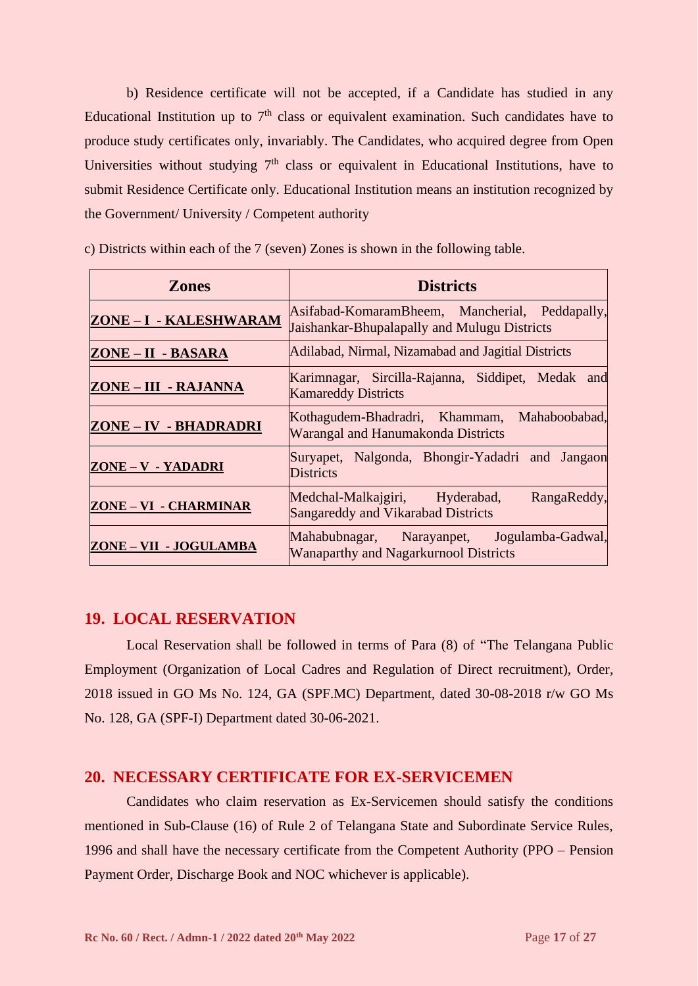b) Residence certificate will not be accepted, if a Candidate has studied in any Educational Institution up to  $7<sup>th</sup>$  class or equivalent examination. Such candidates have to produce study certificates only, invariably. The Candidates, who acquired degree from Open Universities without studying  $7<sup>th</sup>$  class or equivalent in Educational Institutions, have to submit Residence Certificate only. Educational Institution means an institution recognized by the Government/ University / Competent authority

| <b>Zones</b>           | <b>Districts</b>                                                                               |  |  |
|------------------------|------------------------------------------------------------------------------------------------|--|--|
| ZONE-I-KALESHWARAM     | Asifabad-KomaramBheem, Mancherial, Peddapally,<br>Jaishankar-Bhupalapally and Mulugu Districts |  |  |
| ZONE - II - BASARA     | Adilabad, Nirmal, Nizamabad and Jagitial Districts                                             |  |  |
| ZONE – III - RAJANNA   | Karimnagar, Sircilla-Rajanna, Siddipet, Medak and<br><b>Kamareddy Districts</b>                |  |  |
| ZONE-IV - BHADRADRI    | Kothagudem-Bhadradri, Khammam, Mahaboobabad,<br><b>Warangal and Hanumakonda Districts</b>      |  |  |
| ZONE - V - YADADRI     | Suryapet, Nalgonda, Bhongir-Yadadri and Jangaon<br><b>Districts</b>                            |  |  |
| ZONE - VI - CHARMINAR  | Medchal-Malkajgiri, Hyderabad,<br>RangaReddy,<br>Sangareddy and Vikarabad Districts            |  |  |
| ZONE - VII - JOGULAMBA | Mahabubnagar, Narayanpet, Jogulamba-Gadwal,<br><b>Wanaparthy and Nagarkurnool Districts</b>    |  |  |

c) Districts within each of the 7 (seven) Zones is shown in the following table.

#### **19. LOCAL RESERVATION**

Local Reservation shall be followed in terms of Para (8) of "The Telangana Public Employment (Organization of Local Cadres and Regulation of Direct recruitment), Order, 2018 issued in GO Ms No. 124, GA (SPF.MC) Department, dated 30-08-2018 r/w GO Ms No. 128, GA (SPF-I) Department dated 30-06-2021.

#### **20. NECESSARY CERTIFICATE FOR EX-SERVICEMEN**

Candidates who claim reservation as Ex-Servicemen should satisfy the conditions mentioned in Sub-Clause (16) of Rule 2 of Telangana State and Subordinate Service Rules, 1996 and shall have the necessary certificate from the Competent Authority (PPO – Pension Payment Order, Discharge Book and NOC whichever is applicable).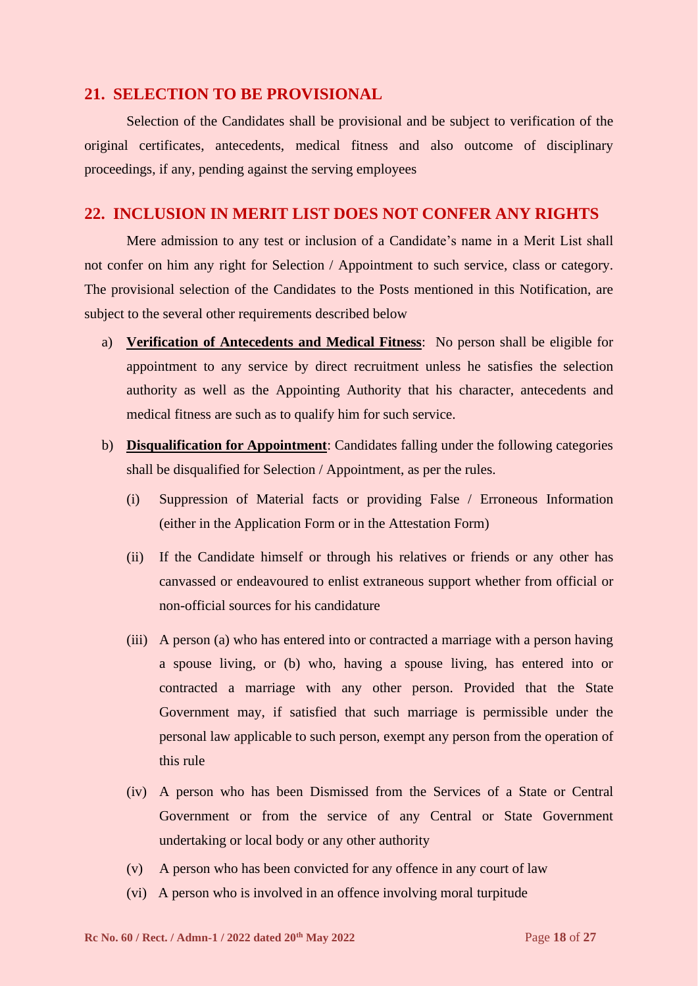#### **21. SELECTION TO BE PROVISIONAL**

Selection of the Candidates shall be provisional and be subject to verification of the original certificates, antecedents, medical fitness and also outcome of disciplinary proceedings, if any, pending against the serving employees

#### **22. INCLUSION IN MERIT LIST DOES NOT CONFER ANY RIGHTS**

Mere admission to any test or inclusion of a Candidate's name in a Merit List shall not confer on him any right for Selection / Appointment to such service, class or category. The provisional selection of the Candidates to the Posts mentioned in this Notification, are subject to the several other requirements described below

- a) **Verification of Antecedents and Medical Fitness**: No person shall be eligible for appointment to any service by direct recruitment unless he satisfies the selection authority as well as the Appointing Authority that his character, antecedents and medical fitness are such as to qualify him for such service.
- b) **Disqualification for Appointment**: Candidates falling under the following categories shall be disqualified for Selection / Appointment, as per the rules.
	- (i) Suppression of Material facts or providing False / Erroneous Information (either in the Application Form or in the Attestation Form)
	- (ii) If the Candidate himself or through his relatives or friends or any other has canvassed or endeavoured to enlist extraneous support whether from official or non-official sources for his candidature
	- (iii) A person (a) who has entered into or contracted a marriage with a person having a spouse living, or (b) who, having a spouse living, has entered into or contracted a marriage with any other person. Provided that the State Government may, if satisfied that such marriage is permissible under the personal law applicable to such person, exempt any person from the operation of this rule
	- (iv) A person who has been Dismissed from the Services of a State or Central Government or from the service of any Central or State Government undertaking or local body or any other authority
	- (v) A person who has been convicted for any offence in any court of law
	- (vi) A person who is involved in an offence involving moral turpitude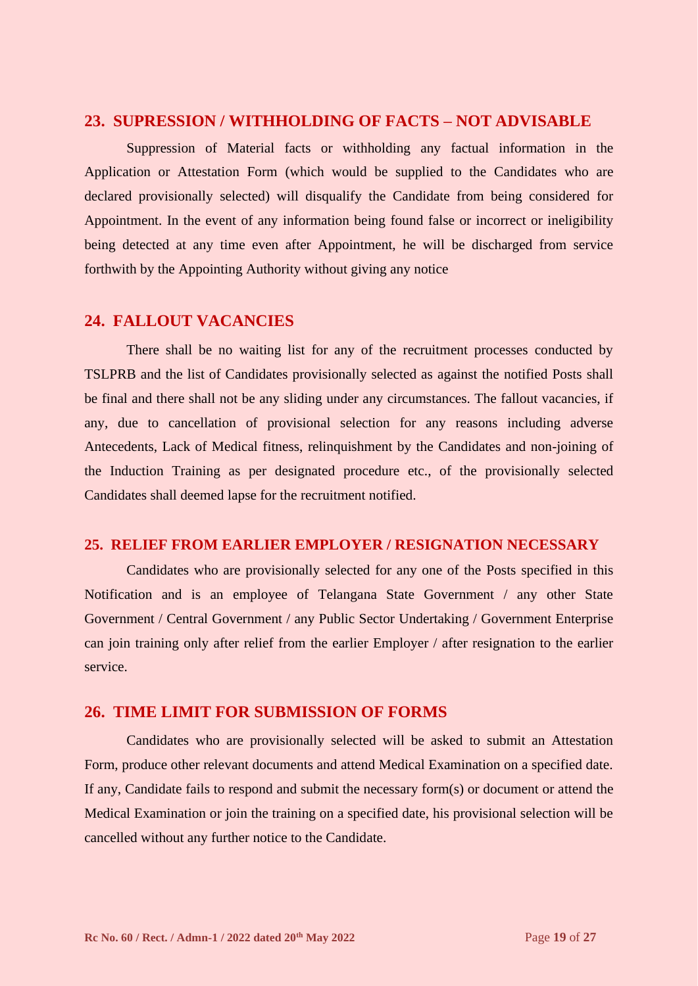#### **23. SUPRESSION / WITHHOLDING OF FACTS – NOT ADVISABLE**

Suppression of Material facts or withholding any factual information in the Application or Attestation Form (which would be supplied to the Candidates who are declared provisionally selected) will disqualify the Candidate from being considered for Appointment. In the event of any information being found false or incorrect or ineligibility being detected at any time even after Appointment, he will be discharged from service forthwith by the Appointing Authority without giving any notice

#### **24. FALLOUT VACANCIES**

There shall be no waiting list for any of the recruitment processes conducted by TSLPRB and the list of Candidates provisionally selected as against the notified Posts shall be final and there shall not be any sliding under any circumstances. The fallout vacancies, if any, due to cancellation of provisional selection for any reasons including adverse Antecedents, Lack of Medical fitness, relinquishment by the Candidates and non-joining of the Induction Training as per designated procedure etc., of the provisionally selected Candidates shall deemed lapse for the recruitment notified.

#### **25. RELIEF FROM EARLIER EMPLOYER / RESIGNATION NECESSARY**

Candidates who are provisionally selected for any one of the Posts specified in this Notification and is an employee of Telangana State Government / any other State Government / Central Government / any Public Sector Undertaking / Government Enterprise can join training only after relief from the earlier Employer / after resignation to the earlier service.

#### **26. TIME LIMIT FOR SUBMISSION OF FORMS**

Candidates who are provisionally selected will be asked to submit an Attestation Form, produce other relevant documents and attend Medical Examination on a specified date. If any, Candidate fails to respond and submit the necessary form(s) or document or attend the Medical Examination or join the training on a specified date, his provisional selection will be cancelled without any further notice to the Candidate.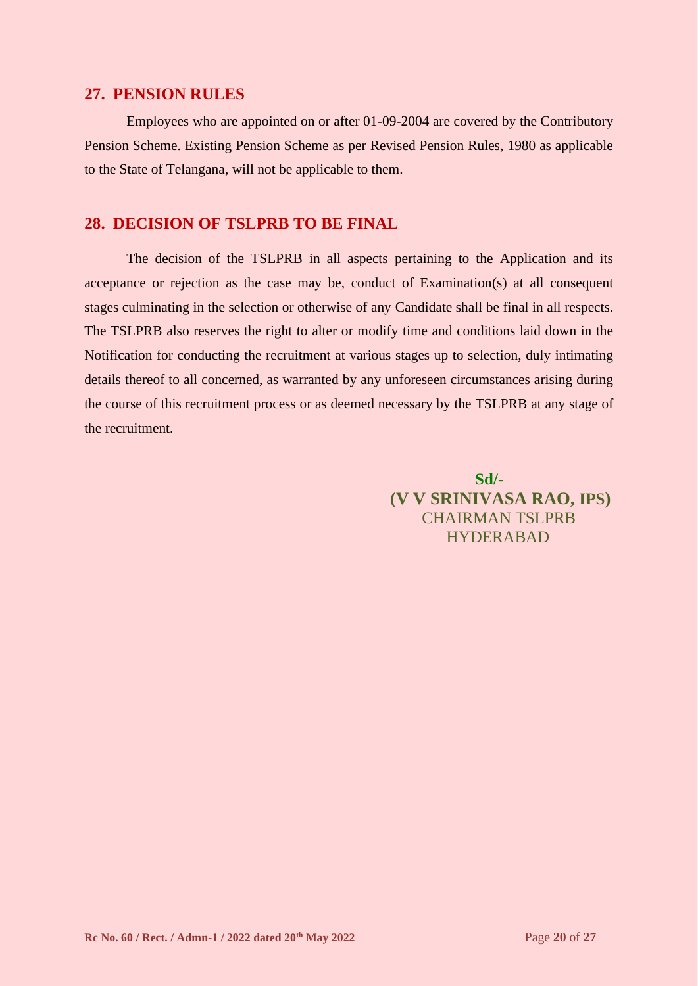#### **27. PENSION RULES**

Employees who are appointed on or after 01-09-2004 are covered by the Contributory Pension Scheme. Existing Pension Scheme as per Revised Pension Rules, 1980 as applicable to the State of Telangana, will not be applicable to them.

### **28. DECISION OF TSLPRB TO BE FINAL**

The decision of the TSLPRB in all aspects pertaining to the Application and its acceptance or rejection as the case may be, conduct of Examination(s) at all consequent stages culminating in the selection or otherwise of any Candidate shall be final in all respects. The TSLPRB also reserves the right to alter or modify time and conditions laid down in the Notification for conducting the recruitment at various stages up to selection, duly intimating details thereof to all concerned, as warranted by any unforeseen circumstances arising during the course of this recruitment process or as deemed necessary by the TSLPRB at any stage of the recruitment.

> **Sd/- (V V SRINIVASA RAO, IPS)** CHAIRMAN TSLPRB HYDERABAD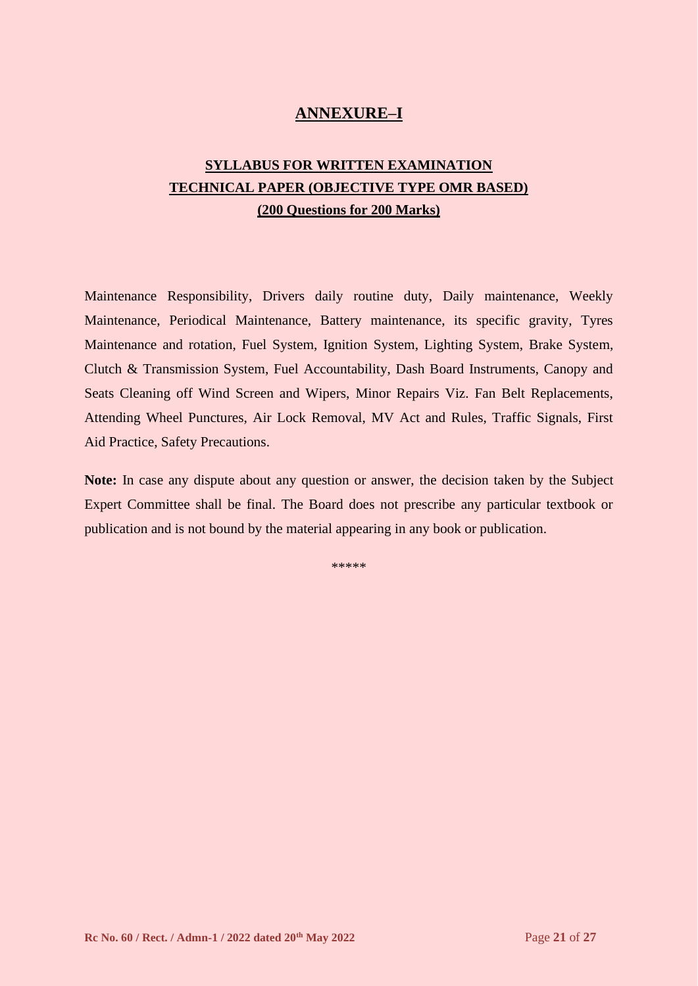# **ANNEXURE–I**

# **SYLLABUS FOR WRITTEN EXAMINATION TECHNICAL PAPER (OBJECTIVE TYPE OMR BASED) (200 Questions for 200 Marks)**

Maintenance Responsibility, Drivers daily routine duty, Daily maintenance, Weekly Maintenance, Periodical Maintenance, Battery maintenance, its specific gravity, Tyres Maintenance and rotation, Fuel System, Ignition System, Lighting System, Brake System, Clutch & Transmission System, Fuel Accountability, Dash Board Instruments, Canopy and Seats Cleaning off Wind Screen and Wipers, Minor Repairs Viz. Fan Belt Replacements, Attending Wheel Punctures, Air Lock Removal, MV Act and Rules, Traffic Signals, First Aid Practice, Safety Precautions.

**Note:** In case any dispute about any question or answer, the decision taken by the Subject Expert Committee shall be final. The Board does not prescribe any particular textbook or publication and is not bound by the material appearing in any book or publication.

\*\*\*\*\*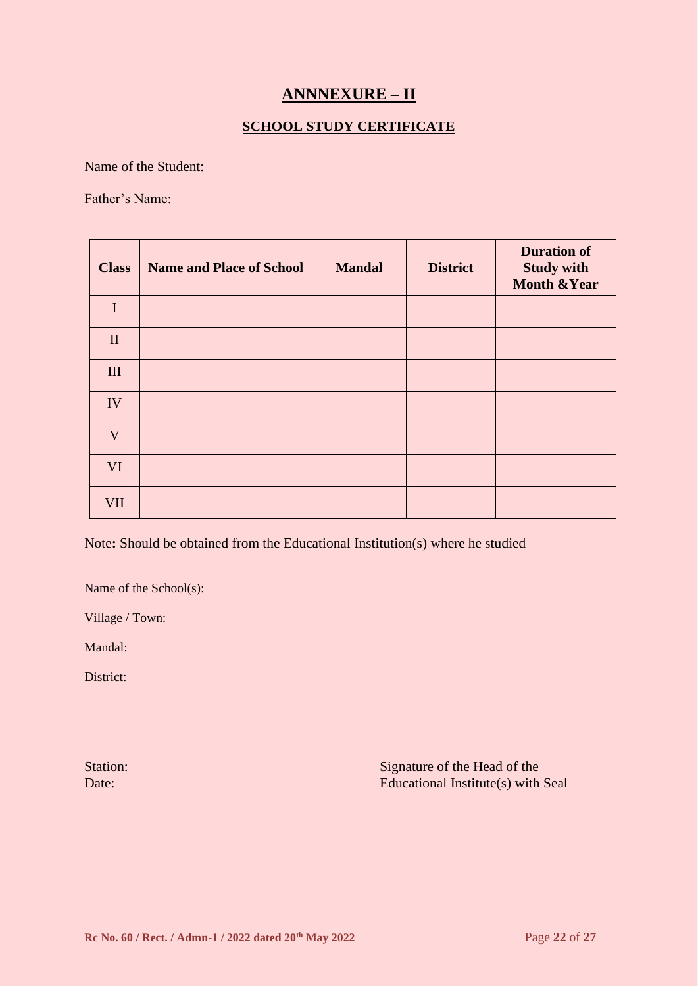# **ANNNEXURE – II**

#### **SCHOOL STUDY CERTIFICATE**

Name of the Student:

Father's Name:

| <b>Class</b> | <b>Name and Place of School</b> | <b>Mandal</b> | <b>District</b> | <b>Duration of</b><br><b>Study with</b><br><b>Month &amp; Year</b> |
|--------------|---------------------------------|---------------|-----------------|--------------------------------------------------------------------|
| $\mathbf I$  |                                 |               |                 |                                                                    |
| $\mathbf{I}$ |                                 |               |                 |                                                                    |
| $\rm III$    |                                 |               |                 |                                                                    |
| IV           |                                 |               |                 |                                                                    |
| $\mathbf{V}$ |                                 |               |                 |                                                                    |
| VI           |                                 |               |                 |                                                                    |
| <b>VII</b>   |                                 |               |                 |                                                                    |

Note**:** Should be obtained from the Educational Institution(s) where he studied

Name of the School(s):

Village / Town:

Mandal:

District:

Station: Signature of the Head of the Signature of the Head of the Signature of the Head of the Signature of the Head of the Signature of the Head of the Signature of the Head of the Signature of the Head of the Signature Date: Educational Institute(s) with Seal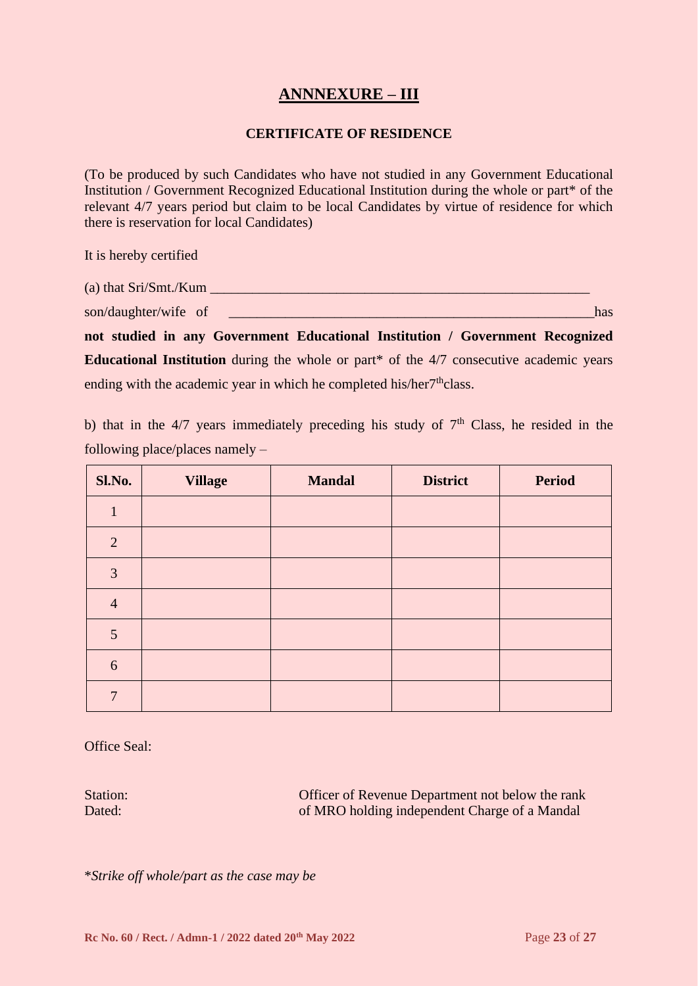# **ANNNEXURE – III**

#### **CERTIFICATE OF RESIDENCE**

(To be produced by such Candidates who have not studied in any Government Educational Institution / Government Recognized Educational Institution during the whole or part\* of the relevant 4/7 years period but claim to be local Candidates by virtue of residence for which there is reservation for local Candidates)

It is hereby certified

| (a) that $Sri/Smt./Kum$ |     |
|-------------------------|-----|
| son/daughter/wife of    | has |

**not studied in any Government Educational Institution / Government Recognized Educational Institution** during the whole or part<sup>\*</sup> of the 4/7 consecutive academic years ending with the academic year in which he completed his/her7<sup>th</sup>class.

b) that in the  $4/7$  years immediately preceding his study of  $7<sup>th</sup>$  Class, he resided in the following place/places namely –

| Sl.No.         | <b>Village</b> | <b>Mandal</b> | <b>District</b> | <b>Period</b> |
|----------------|----------------|---------------|-----------------|---------------|
| 1              |                |               |                 |               |
| $\overline{2}$ |                |               |                 |               |
| 3              |                |               |                 |               |
| $\overline{4}$ |                |               |                 |               |
| 5              |                |               |                 |               |
| $6\,$          |                |               |                 |               |
| 7              |                |               |                 |               |

Office Seal:

Station: Officer of Revenue Department not below the rank Dated: **Dated:** of MRO holding independent Charge of a Mandal

\**Strike off whole/part as the case may be*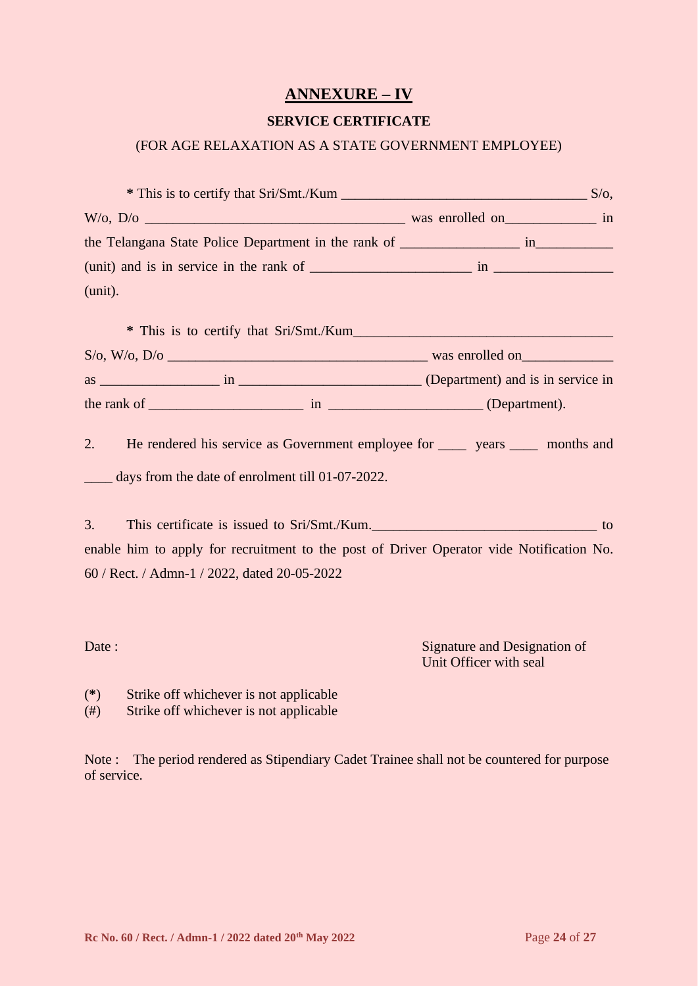# **ANNEXURE – IV**

#### **SERVICE CERTIFICATE**

#### (FOR AGE RELAXATION AS A STATE GOVERNMENT EMPLOYEE)

| $(mit)$ and is in service in the rank of $\frac{1}{m}$ in $\frac{1}{m}$                   |    |
|-------------------------------------------------------------------------------------------|----|
| (unit).                                                                                   |    |
|                                                                                           |    |
|                                                                                           |    |
|                                                                                           |    |
|                                                                                           |    |
| He rendered his service as Government employee for _______ years _______ months and<br>2. |    |
| days from the date of enrolment till 01-07-2022.                                          |    |
|                                                                                           |    |
| This certificate is issued to Sri/Smt./Kum.<br>3.                                         | to |
| enable him to apply for recruitment to the post of Driver Operator vide Notification No.  |    |
| 60 / Rect. / Admn-1 / 2022, dated 20-05-2022                                              |    |
|                                                                                           |    |
|                                                                                           |    |

Date : Signature and Designation of Unit Officer with seal

- (**\***) Strike off whichever is not applicable
- (#) Strike off whichever is not applicable

Note : The period rendered as Stipendiary Cadet Trainee shall not be countered for purpose of service.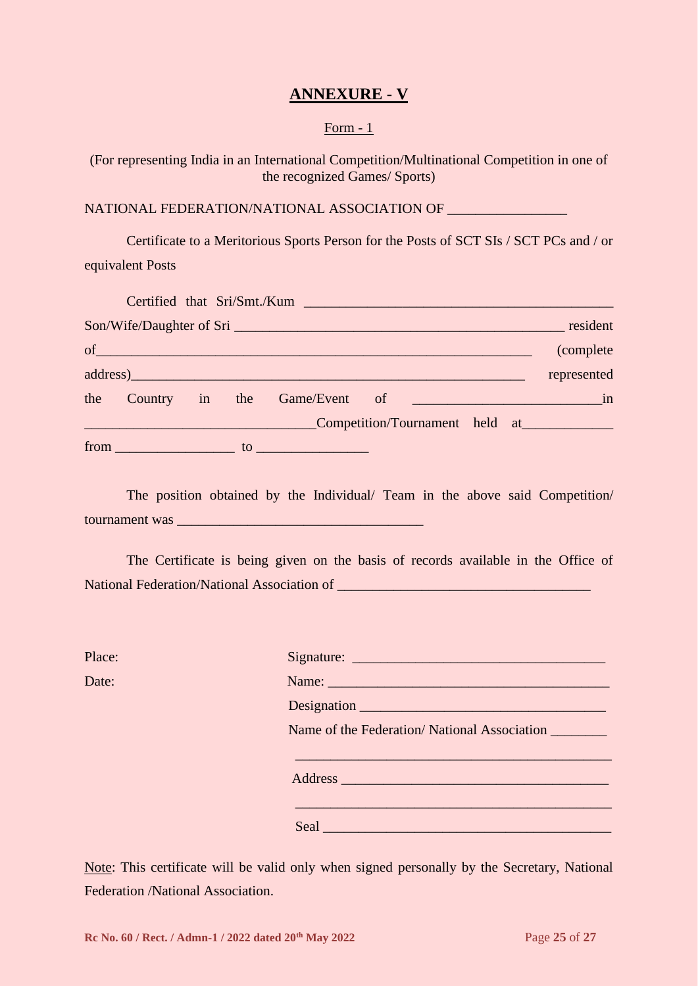# **ANNEXURE - V**

#### Form - 1

(For representing India in an International Competition/Multinational Competition in one of the recognized Games/ Sports)

#### NATIONAL FEDERATION/NATIONAL ASSOCIATION OF \_\_\_\_\_\_\_\_\_\_\_\_\_\_\_\_\_

Certificate to a Meritorious Sports Person for the Posts of SCT SIs / SCT PCs and / or equivalent Posts

|  |  | Certified that Sri/Smt./Kum    |  |             |
|--|--|--------------------------------|--|-------------|
|  |  |                                |  |             |
|  |  | $of$ $\overline{\phantom{a}}$  |  | (complete)  |
|  |  | address)                       |  | represented |
|  |  |                                |  |             |
|  |  | Competition/Tournament held at |  |             |
|  |  | $from$ $to$ $to$ $to$ $\sim$   |  |             |

The position obtained by the Individual/ Team in the above said Competition/ tournament was

The Certificate is being given on the basis of records available in the Office of National Federation/National Association of \_\_\_\_\_\_\_\_\_\_\_\_\_\_\_\_\_\_\_\_\_\_\_\_\_\_\_\_\_\_\_\_\_\_\_\_

| Place: |                                             |
|--------|---------------------------------------------|
| Date:  | Name:                                       |
|        |                                             |
|        | Name of the Federation/National Association |
|        |                                             |
|        |                                             |
|        | Seal                                        |

Note: This certificate will be valid only when signed personally by the Secretary, National Federation /National Association.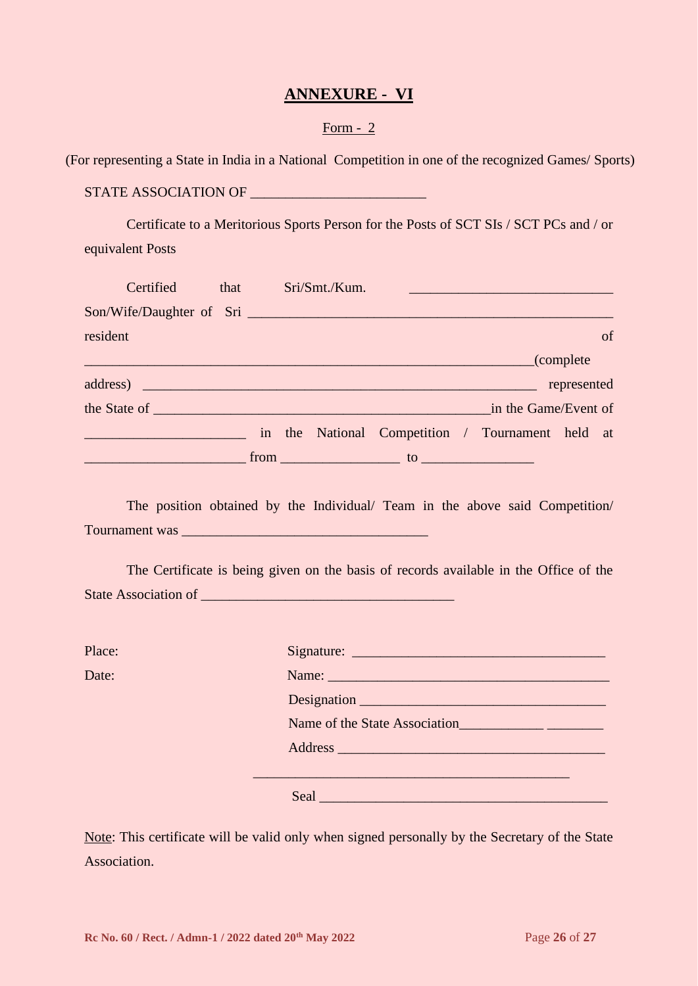## **ANNEXURE - VI**

#### Form - 2

(For representing a State in India in a National Competition in one of the recognized Games/ Sports)

STATE ASSOCIATION OF \_\_\_\_\_\_\_\_\_\_\_\_\_\_\_\_\_\_\_\_\_\_\_\_\_

Certificate to a Meritorious Sports Person for the Posts of SCT SIs / SCT PCs and / or equivalent Posts

| Certified                                                                                                                                                                                                                      | that | Sri/Smt./Kum. |                                          |                                                  |             |    |
|--------------------------------------------------------------------------------------------------------------------------------------------------------------------------------------------------------------------------------|------|---------------|------------------------------------------|--------------------------------------------------|-------------|----|
|                                                                                                                                                                                                                                |      |               |                                          |                                                  |             |    |
| resident                                                                                                                                                                                                                       |      |               |                                          |                                                  |             | of |
|                                                                                                                                                                                                                                |      |               |                                          | complete (complete)                              |             |    |
|                                                                                                                                                                                                                                |      |               |                                          |                                                  | represented |    |
| the State of the State of the State of the State of the State of the State of the State of the State of the State of the State of the State of the State of the State of the State of the State of the State of the State of t |      |               |                                          | in the Game/Event of                             |             |    |
|                                                                                                                                                                                                                                |      |               |                                          | in the National Competition / Tournament held at |             |    |
|                                                                                                                                                                                                                                |      |               | $from$ $to$ $to$ $\overline{\phantom{}}$ |                                                  |             |    |

The position obtained by the Individual/ Team in the above said Competition/ Tournament was \_\_\_\_\_\_\_\_\_\_\_\_\_\_\_\_\_\_\_\_\_\_\_\_\_\_\_\_\_\_\_\_\_\_\_

The Certificate is being given on the basis of records available in the Office of the State Association of \_\_\_\_\_\_\_\_\_\_\_\_\_\_\_\_\_\_\_\_\_\_\_\_\_\_\_\_\_\_\_\_\_\_\_\_

Place: Signature: \_\_\_\_\_\_\_\_\_\_\_\_\_\_\_\_\_\_\_\_\_\_\_\_\_\_\_\_\_\_\_\_\_\_\_\_ Date: Name: \_\_\_\_\_\_\_\_\_\_\_\_\_\_\_\_\_\_\_\_\_\_\_\_\_\_\_\_\_\_\_\_\_\_\_\_\_\_\_\_ Designation Name of the State Association\_\_\_\_\_\_\_\_\_\_\_\_\_ Address \_\_\_\_\_\_\_\_\_\_\_\_\_\_\_\_\_\_\_\_\_\_\_\_\_\_\_\_\_\_\_\_\_\_\_\_\_\_ \_\_\_\_\_\_\_\_\_\_\_\_\_\_\_\_\_\_\_\_\_\_\_\_\_\_\_\_\_\_\_\_\_\_\_\_\_\_\_\_\_\_\_\_\_ Seal and the seal and the seal and the seal and the seal and the seal and the seal and the seal and the seal of

Note: This certificate will be valid only when signed personally by the Secretary of the State Association.